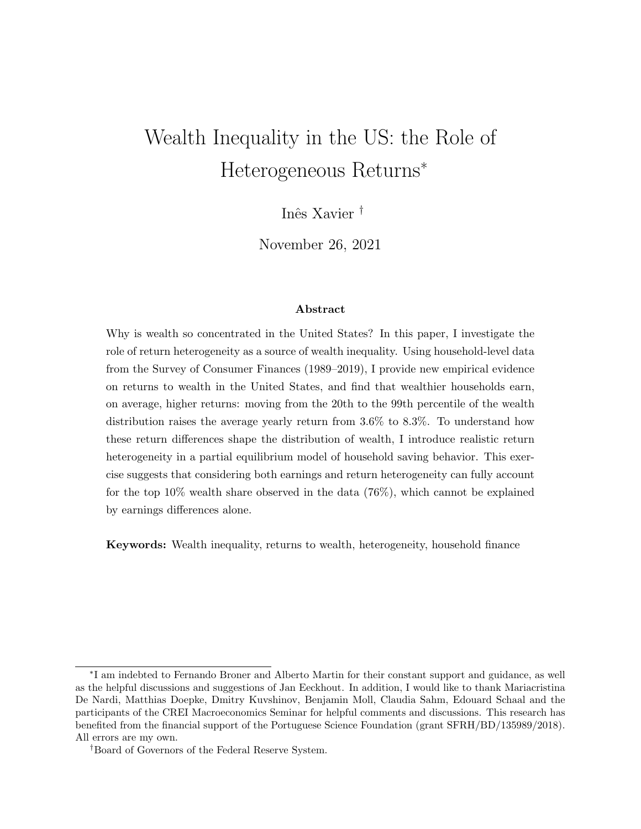# Wealth Inequality in the US: the Role of Heterogeneous Returns<sup>∗</sup>

Inês Xavier<sup>†</sup>

November 26, 2021

#### Abstract

Why is wealth so concentrated in the United States? In this paper, I investigate the role of return heterogeneity as a source of wealth inequality. Using household-level data from the Survey of Consumer Finances (1989–2019), I provide new empirical evidence on returns to wealth in the United States, and find that wealthier households earn, on average, higher returns: moving from the 20th to the 99th percentile of the wealth distribution raises the average yearly return from 3.6% to 8.3%. To understand how these return differences shape the distribution of wealth, I introduce realistic return heterogeneity in a partial equilibrium model of household saving behavior. This exercise suggests that considering both earnings and return heterogeneity can fully account for the top 10% wealth share observed in the data (76%), which cannot be explained by earnings differences alone.

Keywords: Wealth inequality, returns to wealth, heterogeneity, household finance

<sup>∗</sup> I am indebted to Fernando Broner and Alberto Martin for their constant support and guidance, as well as the helpful discussions and suggestions of Jan Eeckhout. In addition, I would like to thank Mariacristina De Nardi, Matthias Doepke, Dmitry Kuvshinov, Benjamin Moll, Claudia Sahm, Edouard Schaal and the participants of the CREI Macroeconomics Seminar for helpful comments and discussions. This research has benefited from the financial support of the Portuguese Science Foundation (grant SFRH/BD/135989/2018). All errors are my own.

<sup>†</sup>Board of Governors of the Federal Reserve System.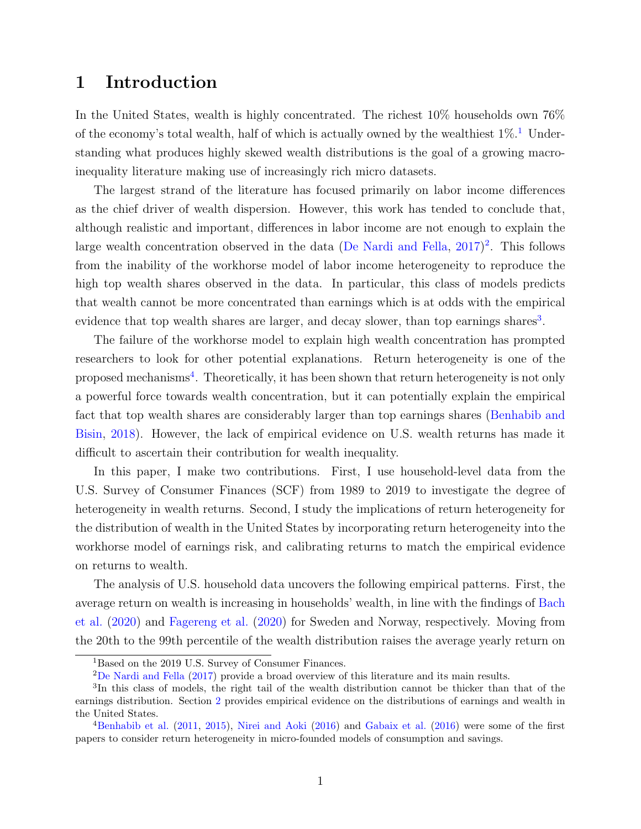# 1 Introduction

In the United States, wealth is highly concentrated. The richest 10% households own 76% of the economy's total wealth, half of which is actually owned by the wealthiest  $1\%$  $1\%$ .<sup>1</sup> Understanding what produces highly skewed wealth distributions is the goal of a growing macroinequality literature making use of increasingly rich micro datasets.

The largest strand of the literature has focused primarily on labor income differences as the chief driver of wealth dispersion. However, this work has tended to conclude that, although realistic and important, differences in labor income are not enough to explain the large wealth concentration observed in the data [\(De Nardi and Fella,](#page-45-0) [2017\)](#page-45-0) [2](#page-1-1) . This follows from the inability of the workhorse model of labor income heterogeneity to reproduce the high top wealth shares observed in the data. In particular, this class of models predicts that wealth cannot be more concentrated than earnings which is at odds with the empirical evidence that top wealth shares are larger, and decay slower, than top earnings shares<sup>[3](#page-1-2)</sup>.

The failure of the workhorse model to explain high wealth concentration has prompted researchers to look for other potential explanations. Return heterogeneity is one of the proposed mechanisms<sup>[4](#page-1-3)</sup>. Theoretically, it has been shown that return heterogeneity is not only a powerful force towards wealth concentration, but it can potentially explain the empirical fact that top wealth shares are considerably larger than top earnings shares [\(Benhabib and](#page-45-1) [Bisin,](#page-45-1) [2018\)](#page-45-1). However, the lack of empirical evidence on U.S. wealth returns has made it difficult to ascertain their contribution for wealth inequality.

In this paper, I make two contributions. First, I use household-level data from the U.S. Survey of Consumer Finances (SCF) from 1989 to 2019 to investigate the degree of heterogeneity in wealth returns. Second, I study the implications of return heterogeneity for the distribution of wealth in the United States by incorporating return heterogeneity into the workhorse model of earnings risk, and calibrating returns to match the empirical evidence on returns to wealth.

The analysis of U.S. household data uncovers the following empirical patterns. First, the average return on wealth is increasing in households' wealth, in line with the findings of [Bach](#page-45-2) [et al.](#page-45-2) [\(2020\)](#page-45-2) and [Fagereng et al.](#page-45-3) [\(2020\)](#page-45-3) for Sweden and Norway, respectively. Moving from the 20th to the 99th percentile of the wealth distribution raises the average yearly return on

<span id="page-1-0"></span><sup>&</sup>lt;sup>1</sup>Based on the 2019 U.S. Survey of Consumer Finances.

<span id="page-1-2"></span><span id="page-1-1"></span><sup>2</sup>[De Nardi and Fella](#page-45-0) [\(2017\)](#page-45-0) provide a broad overview of this literature and its main results.

<sup>&</sup>lt;sup>3</sup>In this class of models, the right tail of the wealth distribution cannot be thicker than that of the earnings distribution. Section [2](#page-5-0) provides empirical evidence on the distributions of earnings and wealth in the United States.

<span id="page-1-3"></span><sup>4</sup>[Benhabib et al.](#page-45-4) [\(2011,](#page-45-4) [2015\)](#page-45-5), [Nirei and Aoki](#page-46-0) [\(2016\)](#page-46-0) and [Gabaix et al.](#page-45-6) [\(2016\)](#page-45-6) were some of the first papers to consider return heterogeneity in micro-founded models of consumption and savings.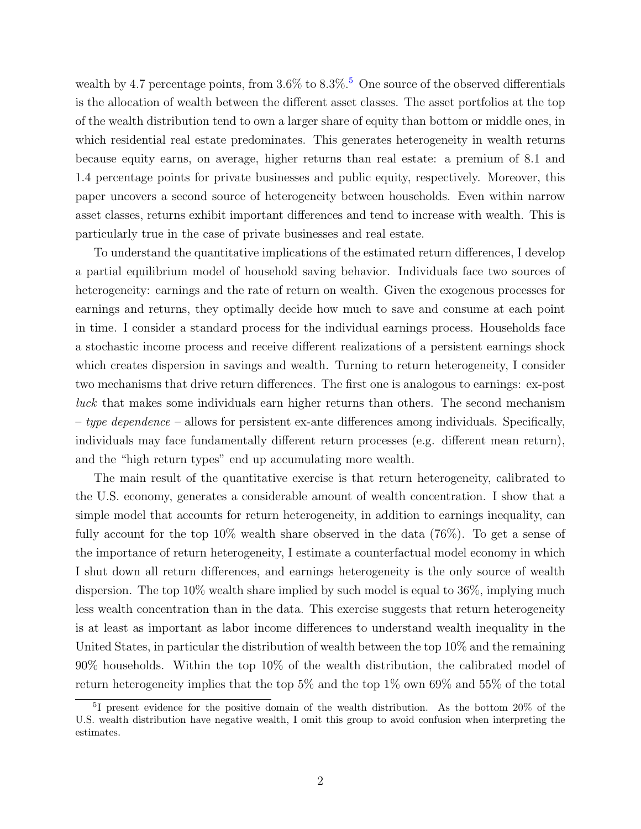wealth by 4.7 percentage points, from  $3.6\%$  to  $8.3\%$ .<sup>[5](#page-2-0)</sup> One source of the observed differentials is the allocation of wealth between the different asset classes. The asset portfolios at the top of the wealth distribution tend to own a larger share of equity than bottom or middle ones, in which residential real estate predominates. This generates heterogeneity in wealth returns because equity earns, on average, higher returns than real estate: a premium of 8.1 and 1.4 percentage points for private businesses and public equity, respectively. Moreover, this paper uncovers a second source of heterogeneity between households. Even within narrow asset classes, returns exhibit important differences and tend to increase with wealth. This is particularly true in the case of private businesses and real estate.

To understand the quantitative implications of the estimated return differences, I develop a partial equilibrium model of household saving behavior. Individuals face two sources of heterogeneity: earnings and the rate of return on wealth. Given the exogenous processes for earnings and returns, they optimally decide how much to save and consume at each point in time. I consider a standard process for the individual earnings process. Households face a stochastic income process and receive different realizations of a persistent earnings shock which creates dispersion in savings and wealth. Turning to return heterogeneity, I consider two mechanisms that drive return differences. The first one is analogous to earnings: ex-post luck that makes some individuals earn higher returns than others. The second mechanism  $-$  type dependence – allows for persistent ex-ante differences among individuals. Specifically, individuals may face fundamentally different return processes (e.g. different mean return), and the "high return types" end up accumulating more wealth.

The main result of the quantitative exercise is that return heterogeneity, calibrated to the U.S. economy, generates a considerable amount of wealth concentration. I show that a simple model that accounts for return heterogeneity, in addition to earnings inequality, can fully account for the top 10% wealth share observed in the data (76%). To get a sense of the importance of return heterogeneity, I estimate a counterfactual model economy in which I shut down all return differences, and earnings heterogeneity is the only source of wealth dispersion. The top 10% wealth share implied by such model is equal to 36%, implying much less wealth concentration than in the data. This exercise suggests that return heterogeneity is at least as important as labor income differences to understand wealth inequality in the United States, in particular the distribution of wealth between the top 10% and the remaining 90% households. Within the top 10% of the wealth distribution, the calibrated model of return heterogeneity implies that the top 5% and the top 1% own 69% and 55% of the total

<span id="page-2-0"></span><sup>&</sup>lt;sup>5</sup>I present evidence for the positive domain of the wealth distribution. As the bottom 20% of the U.S. wealth distribution have negative wealth, I omit this group to avoid confusion when interpreting the estimates.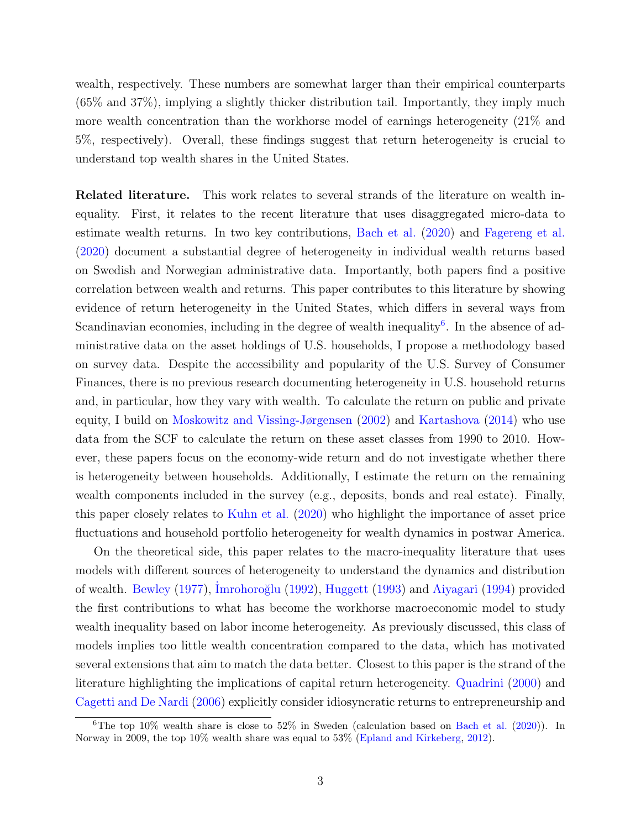wealth, respectively. These numbers are somewhat larger than their empirical counterparts (65% and 37%), implying a slightly thicker distribution tail. Importantly, they imply much more wealth concentration than the workhorse model of earnings heterogeneity (21% and 5%, respectively). Overall, these findings suggest that return heterogeneity is crucial to understand top wealth shares in the United States.

Related literature. This work relates to several strands of the literature on wealth inequality. First, it relates to the recent literature that uses disaggregated micro-data to estimate wealth returns. In two key contributions, [Bach et al.](#page-45-2) [\(2020\)](#page-45-2) and [Fagereng et al.](#page-45-3) [\(2020\)](#page-45-3) document a substantial degree of heterogeneity in individual wealth returns based on Swedish and Norwegian administrative data. Importantly, both papers find a positive correlation between wealth and returns. This paper contributes to this literature by showing evidence of return heterogeneity in the United States, which differs in several ways from Scandinavian economies, including in the degree of wealth inequality<sup>[6](#page-3-0)</sup>. In the absence of administrative data on the asset holdings of U.S. households, I propose a methodology based on survey data. Despite the accessibility and popularity of the U.S. Survey of Consumer Finances, there is no previous research documenting heterogeneity in U.S. household returns and, in particular, how they vary with wealth. To calculate the return on public and private equity, I build on [Moskowitz and Vissing-Jørgensen](#page-46-1) [\(2002\)](#page-46-1) and [Kartashova](#page-45-7) [\(2014\)](#page-45-7) who use data from the SCF to calculate the return on these asset classes from 1990 to 2010. However, these papers focus on the economy-wide return and do not investigate whether there is heterogeneity between households. Additionally, I estimate the return on the remaining wealth components included in the survey (e.g., deposits, bonds and real estate). Finally, this paper closely relates to [Kuhn et al.](#page-45-8) [\(2020\)](#page-45-8) who highlight the importance of asset price fluctuations and household portfolio heterogeneity for wealth dynamics in postwar America.

On the theoretical side, this paper relates to the macro-inequality literature that uses models with different sources of heterogeneity to understand the dynamics and distribution of wealth. [Bewley](#page-45-9) [\(1977\)](#page-45-9), Imrohoroğlu [\(1992\)](#page-45-10), [Huggett](#page-45-11) [\(1993\)](#page-45-11) and [Aiyagari](#page-45-12) [\(1994\)](#page-45-12) provided the first contributions to what has become the workhorse macroeconomic model to study wealth inequality based on labor income heterogeneity. As previously discussed, this class of models implies too little wealth concentration compared to the data, which has motivated several extensions that aim to match the data better. Closest to this paper is the strand of the literature highlighting the implications of capital return heterogeneity. [Quadrini](#page-46-2) [\(2000\)](#page-46-2) and [Cagetti and De Nardi](#page-45-13) [\(2006\)](#page-45-13) explicitly consider idiosyncratic returns to entrepreneurship and

<span id="page-3-0"></span><sup>&</sup>lt;sup>6</sup>The top 10% wealth share is close to  $52\%$  in Sweden (calculation based on [Bach et al.](#page-45-2) [\(2020\)](#page-45-2)). In Norway in 2009, the top 10% wealth share was equal to 53% [\(Epland and Kirkeberg,](#page-45-14) [2012\)](#page-45-14).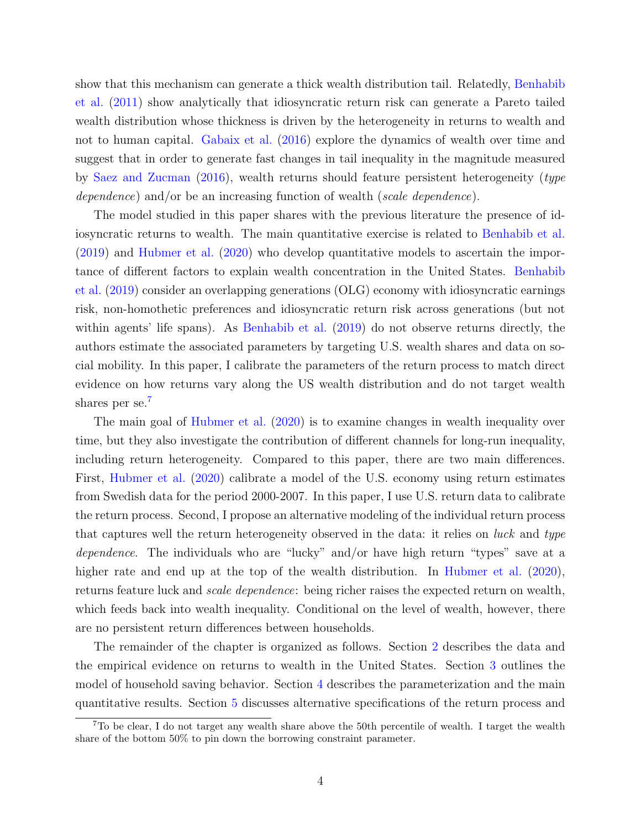show that this mechanism can generate a thick wealth distribution tail. Relatedly, [Benhabib](#page-45-4) [et al.](#page-45-4) [\(2011\)](#page-45-4) show analytically that idiosyncratic return risk can generate a Pareto tailed wealth distribution whose thickness is driven by the heterogeneity in returns to wealth and not to human capital. [Gabaix et al.](#page-45-6) [\(2016\)](#page-45-6) explore the dynamics of wealth over time and suggest that in order to generate fast changes in tail inequality in the magnitude measured by [Saez and Zucman](#page-46-3) [\(2016\)](#page-46-3), wealth returns should feature persistent heterogeneity (type dependence) and/or be an increasing function of wealth (scale dependence).

The model studied in this paper shares with the previous literature the presence of idiosyncratic returns to wealth. The main quantitative exercise is related to [Benhabib et al.](#page-45-15) [\(2019\)](#page-45-15) and [Hubmer et al.](#page-45-16) [\(2020\)](#page-45-16) who develop quantitative models to ascertain the importance of different factors to explain wealth concentration in the United States. [Benhabib](#page-45-15) [et al.](#page-45-15) [\(2019\)](#page-45-15) consider an overlapping generations (OLG) economy with idiosyncratic earnings risk, non-homothetic preferences and idiosyncratic return risk across generations (but not within agents' life spans). As [Benhabib et al.](#page-45-15) [\(2019\)](#page-45-15) do not observe returns directly, the authors estimate the associated parameters by targeting U.S. wealth shares and data on social mobility. In this paper, I calibrate the parameters of the return process to match direct evidence on how returns vary along the US wealth distribution and do not target wealth shares per se.<sup>[7](#page-4-0)</sup>

The main goal of [Hubmer et al.](#page-45-16) [\(2020\)](#page-45-16) is to examine changes in wealth inequality over time, but they also investigate the contribution of different channels for long-run inequality, including return heterogeneity. Compared to this paper, there are two main differences. First, [Hubmer et al.](#page-45-16) [\(2020\)](#page-45-16) calibrate a model of the U.S. economy using return estimates from Swedish data for the period 2000-2007. In this paper, I use U.S. return data to calibrate the return process. Second, I propose an alternative modeling of the individual return process that captures well the return heterogeneity observed in the data: it relies on luck and type dependence. The individuals who are "lucky" and/or have high return "types" save at a higher rate and end up at the top of the wealth distribution. In [Hubmer et al.](#page-45-16) [\(2020\)](#page-45-16), returns feature luck and scale dependence: being richer raises the expected return on wealth, which feeds back into wealth inequality. Conditional on the level of wealth, however, there are no persistent return differences between households.

The remainder of the chapter is organized as follows. Section [2](#page-5-0) describes the data and the empirical evidence on returns to wealth in the United States. Section [3](#page-16-0) outlines the model of household saving behavior. Section [4](#page-19-0) describes the parameterization and the main quantitative results. Section [5](#page-28-0) discusses alternative specifications of the return process and

<span id="page-4-0"></span><sup>7</sup>To be clear, I do not target any wealth share above the 50th percentile of wealth. I target the wealth share of the bottom 50% to pin down the borrowing constraint parameter.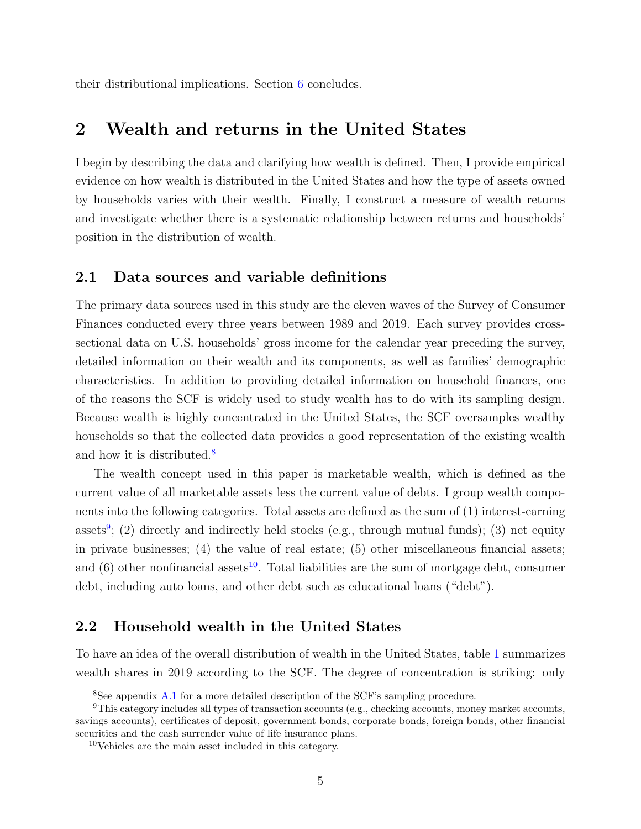their distributional implications. Section [6](#page-31-0) concludes.

# <span id="page-5-0"></span>2 Wealth and returns in the United States

I begin by describing the data and clarifying how wealth is defined. Then, I provide empirical evidence on how wealth is distributed in the United States and how the type of assets owned by households varies with their wealth. Finally, I construct a measure of wealth returns and investigate whether there is a systematic relationship between returns and households' position in the distribution of wealth.

### <span id="page-5-4"></span>2.1 Data sources and variable definitions

The primary data sources used in this study are the eleven waves of the Survey of Consumer Finances conducted every three years between 1989 and 2019. Each survey provides crosssectional data on U.S. households' gross income for the calendar year preceding the survey, detailed information on their wealth and its components, as well as families' demographic characteristics. In addition to providing detailed information on household finances, one of the reasons the SCF is widely used to study wealth has to do with its sampling design. Because wealth is highly concentrated in the United States, the SCF oversamples wealthy households so that the collected data provides a good representation of the existing wealth and how it is distributed.<sup>[8](#page-5-1)</sup>

The wealth concept used in this paper is marketable wealth, which is defined as the current value of all marketable assets less the current value of debts. I group wealth components into the following categories. Total assets are defined as the sum of (1) interest-earning assets<sup>[9](#page-5-2)</sup>; (2) directly and indirectly held stocks (e.g., through mutual funds); (3) net equity in private businesses; (4) the value of real estate; (5) other miscellaneous financial assets; and (6) other nonfinancial assets<sup>[10](#page-5-3)</sup>. Total liabilities are the sum of mortgage debt, consumer debt, including auto loans, and other debt such as educational loans ("debt").

## 2.2 Household wealth in the United States

To have an idea of the overall distribution of wealth in the United States, table [1](#page-6-0) summarizes wealth shares in 2019 according to the SCF. The degree of concentration is striking: only

<span id="page-5-2"></span><span id="page-5-1"></span><sup>8</sup>See appendix [A.1](#page-33-0) for a more detailed description of the SCF's sampling procedure.

 $9$ This category includes all types of transaction accounts (e.g., checking accounts, money market accounts, savings accounts), certificates of deposit, government bonds, corporate bonds, foreign bonds, other financial securities and the cash surrender value of life insurance plans.

<span id="page-5-3"></span><sup>10</sup>Vehicles are the main asset included in this category.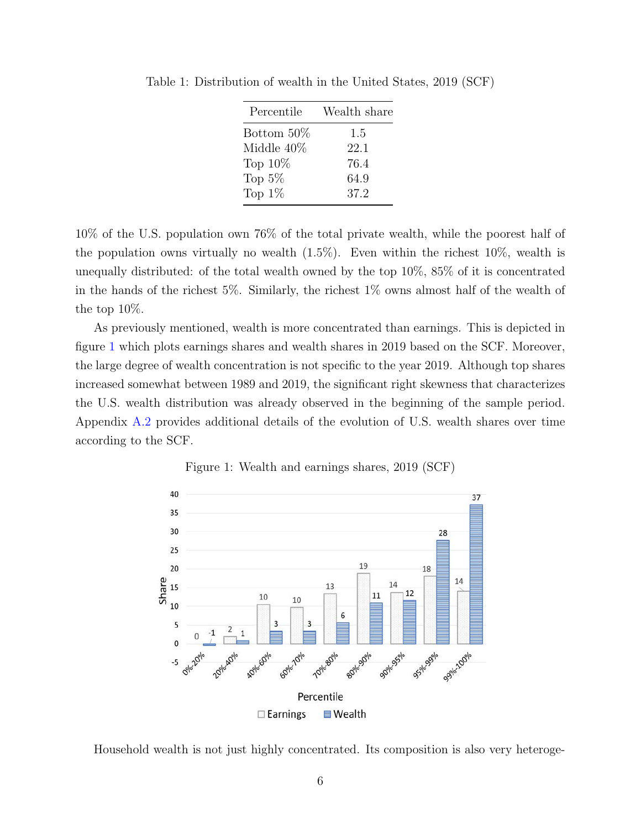| Percentile | Wealth share |
|------------|--------------|
| Bottom 50% | 1.5          |
| Middle 40% | 22.1         |
| Top $10\%$ | 76.4         |
| Top $5\%$  | 64.9         |
| Top $1\%$  | 37.2         |

<span id="page-6-0"></span>Table 1: Distribution of wealth in the United States, 2019 (SCF)

10% of the U.S. population own 76% of the total private wealth, while the poorest half of the population owns virtually no wealth  $(1.5\%)$ . Even within the richest 10%, wealth is unequally distributed: of the total wealth owned by the top 10%, 85% of it is concentrated in the hands of the richest 5%. Similarly, the richest 1% owns almost half of the wealth of the top 10%.

As previously mentioned, wealth is more concentrated than earnings. This is depicted in figure [1](#page-6-1) which plots earnings shares and wealth shares in 2019 based on the SCF. Moreover, the large degree of wealth concentration is not specific to the year 2019. Although top shares increased somewhat between 1989 and 2019, the significant right skewness that characterizes the U.S. wealth distribution was already observed in the beginning of the sample period. Appendix [A.2](#page-33-1) provides additional details of the evolution of U.S. wealth shares over time according to the SCF.

<span id="page-6-1"></span>

Figure 1: Wealth and earnings shares, 2019 (SCF)

Household wealth is not just highly concentrated. Its composition is also very heteroge-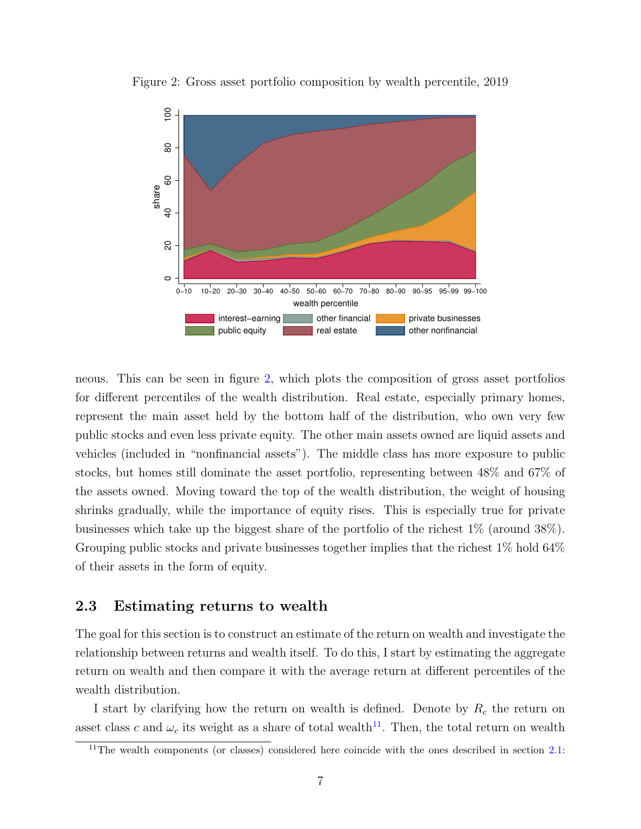

<span id="page-7-0"></span>Figure 2: Gross asset portfolio composition by wealth percentile, 2019

neous. This can be seen in figure [2,](#page-7-0) which plots the composition of gross asset portfolios for different percentiles of the wealth distribution. Real estate, especially primary homes, represent the main asset held by the bottom half of the distribution, who own very few public stocks and even less private equity. The other main assets owned are liquid assets and vehicles (included in "nonfinancial assets"). The middle class has more exposure to public stocks, but homes still dominate the asset portfolio, representing between 48% and 67% of the assets owned. Moving toward the top of the wealth distribution, the weight of housing shrinks gradually, while the importance of equity rises. This is especially true for private businesses which take up the biggest share of the portfolio of the richest 1% (around 38%). Grouping public stocks and private businesses together implies that the richest 1% hold 64% of their assets in the form of equity.

### <span id="page-7-2"></span>2.3 Estimating returns to wealth

The goal for this section is to construct an estimate of the return on wealth and investigate the relationship between returns and wealth itself. To do this, I start by estimating the aggregate return on wealth and then compare it with the average return at different percentiles of the wealth distribution.

I start by clarifying how the return on wealth is defined. Denote by  $R_c$  the return on asset class c and  $\omega_c$  its weight as a share of total wealth<sup>[11](#page-7-1)</sup>. Then, the total return on wealth

<span id="page-7-1"></span> $11$ <sup>11</sup>The wealth components (or classes) considered here coincide with the ones described in section [2.1:](#page-5-4)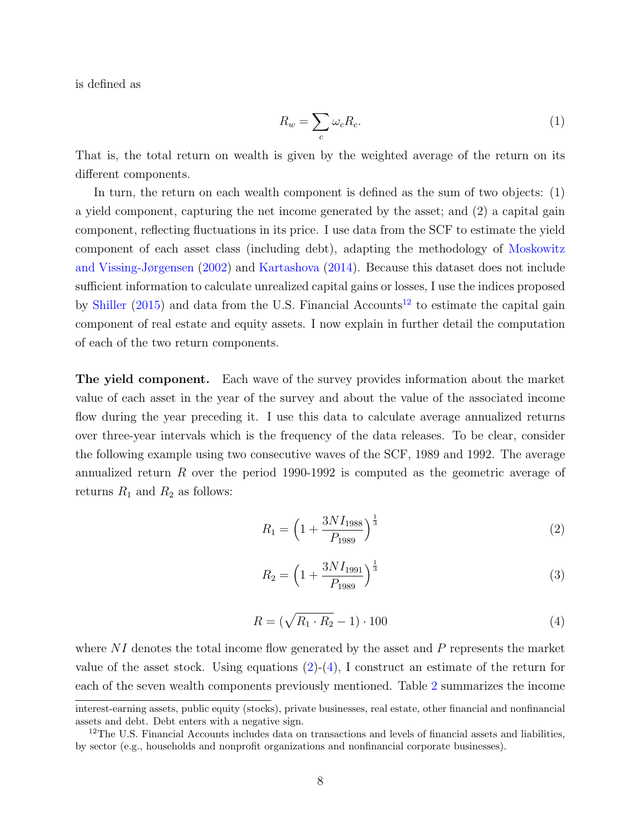is defined as

<span id="page-8-3"></span>
$$
R_w = \sum_c \omega_c R_c. \tag{1}
$$

That is, the total return on wealth is given by the weighted average of the return on its different components.

In turn, the return on each wealth component is defined as the sum of two objects: (1) a yield component, capturing the net income generated by the asset; and (2) a capital gain component, reflecting fluctuations in its price. I use data from the SCF to estimate the yield component of each asset class (including debt), adapting the methodology of [Moskowitz](#page-46-1) [and Vissing-Jørgensen](#page-46-1) [\(2002\)](#page-46-1) and [Kartashova](#page-45-7) [\(2014\)](#page-45-7). Because this dataset does not include sufficient information to calculate unrealized capital gains or losses, I use the indices proposed by [Shiller](#page-46-4) [\(2015\)](#page-46-4) and data from the U.S. Financial Accounts<sup>[12](#page-8-0)</sup> to estimate the capital gain component of real estate and equity assets. I now explain in further detail the computation of each of the two return components.

The yield component. Each wave of the survey provides information about the market value of each asset in the year of the survey and about the value of the associated income flow during the year preceding it. I use this data to calculate average annualized returns over three-year intervals which is the frequency of the data releases. To be clear, consider the following example using two consecutive waves of the SCF, 1989 and 1992. The average annualized return R over the period 1990-1992 is computed as the geometric average of returns  $R_1$  and  $R_2$  as follows:

<span id="page-8-1"></span>
$$
R_1 = \left(1 + \frac{3NI_{1988}}{P_{1989}}\right)^{\frac{1}{3}}
$$
\n<sup>(2)</sup>

$$
R_2 = \left(1 + \frac{3NI_{1991}}{P_{1989}}\right)^{\frac{1}{3}}
$$
\n(3)

<span id="page-8-2"></span>
$$
R = (\sqrt{R_1 \cdot R_2} - 1) \cdot 100 \tag{4}
$$

where  $NI$  denotes the total income flow generated by the asset and  $P$  represents the market value of the asset stock. Using equations  $(2)-(4)$  $(2)-(4)$  $(2)-(4)$ , I construct an estimate of the return for each of the seven wealth components previously mentioned. Table [2](#page-9-0) summarizes the income

interest-earning assets, public equity (stocks), private businesses, real estate, other financial and nonfinancial assets and debt. Debt enters with a negative sign.

<span id="page-8-0"></span><sup>&</sup>lt;sup>12</sup>The U.S. Financial Accounts includes data on transactions and levels of financial assets and liabilities, by sector (e.g., households and nonprofit organizations and nonfinancial corporate businesses).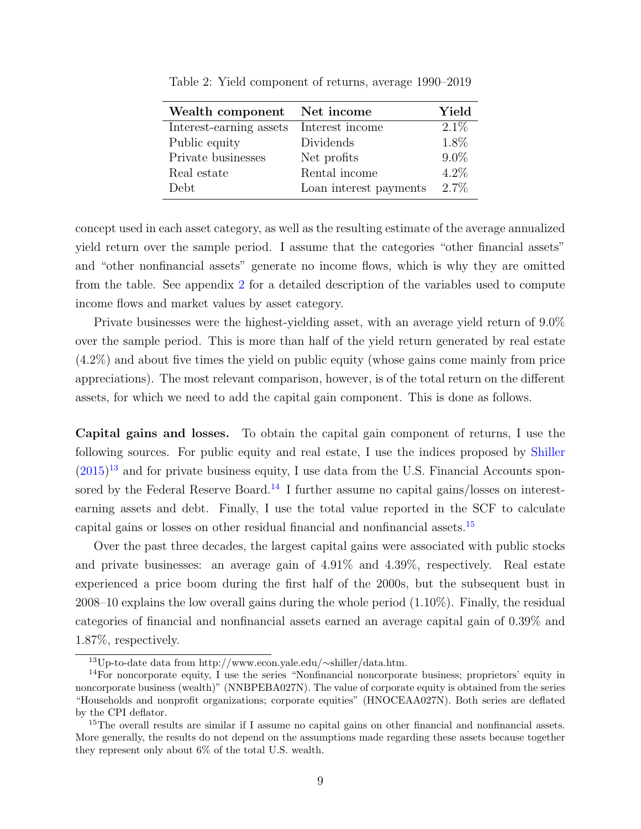| Wealth component Net income |                        | Yield   |
|-----------------------------|------------------------|---------|
| Interest-earning assets     | Interest income        | $2.1\%$ |
| Public equity               | Dividends              | 1.8%    |
| Private businesses          | Net profits            | $9.0\%$ |
| Real estate                 | Rental income          | $4.2\%$ |
| Debt.                       | Loan interest payments | $2.7\%$ |

<span id="page-9-0"></span>Table 2: Yield component of returns, average 1990–2019

concept used in each asset category, as well as the resulting estimate of the average annualized yield return over the sample period. I assume that the categories "other financial assets" and "other nonfinancial assets" generate no income flows, which is why they are omitted from the table. See appendix [2](#page-9-0) for a detailed description of the variables used to compute income flows and market values by asset category.

Private businesses were the highest-yielding asset, with an average yield return of 9.0% over the sample period. This is more than half of the yield return generated by real estate (4.2%) and about five times the yield on public equity (whose gains come mainly from price appreciations). The most relevant comparison, however, is of the total return on the different assets, for which we need to add the capital gain component. This is done as follows.

<span id="page-9-4"></span>Capital gains and losses. To obtain the capital gain component of returns, I use the following sources. For public equity and real estate, I use the indices proposed by [Shiller](#page-46-4)  $(2015)^{13}$  $(2015)^{13}$  $(2015)^{13}$  $(2015)^{13}$  and for private business equity, I use data from the U.S. Financial Accounts spon-sored by the Federal Reserve Board.<sup>[14](#page-9-2)</sup> I further assume no capital gains/losses on interestearning assets and debt. Finally, I use the total value reported in the SCF to calculate capital gains or losses on other residual financial and nonfinancial assets.[15](#page-9-3)

Over the past three decades, the largest capital gains were associated with public stocks and private businesses: an average gain of 4.91% and 4.39%, respectively. Real estate experienced a price boom during the first half of the 2000s, but the subsequent bust in 2008–10 explains the low overall gains during the whole period (1.10%). Finally, the residual categories of financial and nonfinancial assets earned an average capital gain of 0.39% and 1.87%, respectively.

<span id="page-9-2"></span><span id="page-9-1"></span><sup>13</sup>Up-to-date data from http://www.econ.yale.edu/∼shiller/data.htm.

<sup>14</sup>For noncorporate equity, I use the series "Nonfinancial noncorporate business; proprietors' equity in noncorporate business (wealth)" (NNBPEBA027N). The value of corporate equity is obtained from the series "Households and nonprofit organizations; corporate equities" (HNOCEAA027N). Both series are deflated by the CPI deflator.

<span id="page-9-3"></span><sup>&</sup>lt;sup>15</sup>The overall results are similar if I assume no capital gains on other financial and nonfinancial assets. More generally, the results do not depend on the assumptions made regarding these assets because together they represent only about 6% of the total U.S. wealth.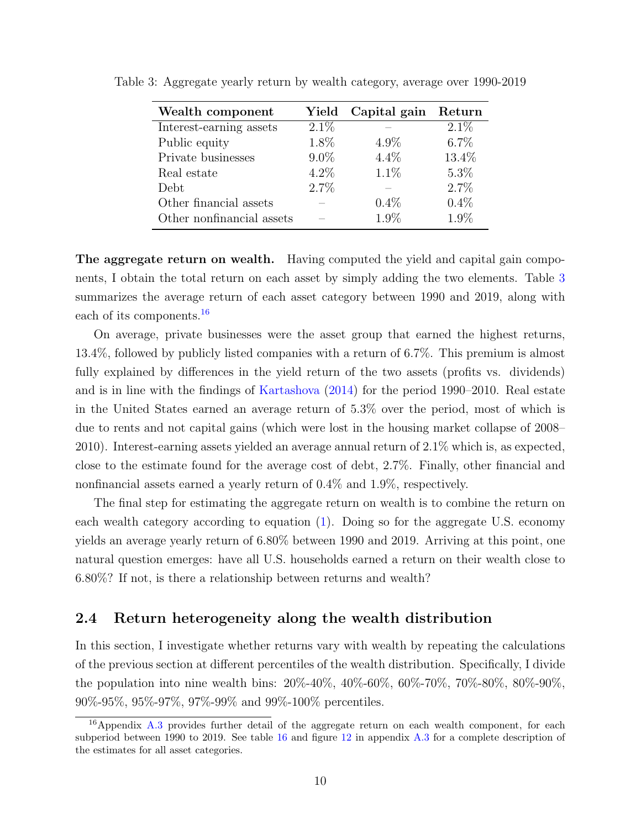| Wealth component          | Yield   | Capital gain | Return  |
|---------------------------|---------|--------------|---------|
| Interest-earning assets   | $2.1\%$ |              | $2.1\%$ |
| Public equity             | 1.8%    | $4.9\%$      | $6.7\%$ |
| Private businesses        | $9.0\%$ | $4.4\%$      | 13.4%   |
| Real estate               | $4.2\%$ | 1.1%         | $5.3\%$ |
| Debt                      | 2.7%    |              | 2.7%    |
| Other financial assets    |         | $0.4\%$      | 0.4%    |
| Other nonfinancial assets |         | 1.9%         | 1.9%    |

<span id="page-10-0"></span>Table 3: Aggregate yearly return by wealth category, average over 1990-2019

The aggregate return on wealth. Having computed the yield and capital gain components, I obtain the total return on each asset by simply adding the two elements. Table [3](#page-10-0) summarizes the average return of each asset category between 1990 and 2019, along with each of its components.<sup>[16](#page-10-1)</sup>

On average, private businesses were the asset group that earned the highest returns, 13.4%, followed by publicly listed companies with a return of 6.7%. This premium is almost fully explained by differences in the yield return of the two assets (profits vs. dividends) and is in line with the findings of [Kartashova](#page-45-7) [\(2014\)](#page-45-7) for the period 1990–2010. Real estate in the United States earned an average return of 5.3% over the period, most of which is due to rents and not capital gains (which were lost in the housing market collapse of 2008– 2010). Interest-earning assets yielded an average annual return of 2.1% which is, as expected, close to the estimate found for the average cost of debt, 2.7%. Finally, other financial and nonfinancial assets earned a yearly return of 0.4% and 1.9%, respectively.

The final step for estimating the aggregate return on wealth is to combine the return on each wealth category according to equation [\(1\)](#page-8-3). Doing so for the aggregate U.S. economy yields an average yearly return of 6.80% between 1990 and 2019. Arriving at this point, one natural question emerges: have all U.S. households earned a return on their wealth close to 6.80%? If not, is there a relationship between returns and wealth?

## 2.4 Return heterogeneity along the wealth distribution

In this section, I investigate whether returns vary with wealth by repeating the calculations of the previous section at different percentiles of the wealth distribution. Specifically, I divide the population into nine wealth bins: 20%-40%, 40%-60%, 60%-70%, 70%-80%, 80%-90%, 90%-95%, 95%-97%, 97%-99% and 99%-100% percentiles.

<span id="page-10-1"></span><sup>&</sup>lt;sup>16</sup>Appendix [A.3](#page-37-0) provides further detail of the aggregate return on each wealth component, for each subperiod between 1990 to 2019. See table [16](#page-37-1) and figure [12](#page-38-0) in appendix [A.3](#page-37-0) for a complete description of the estimates for all asset categories.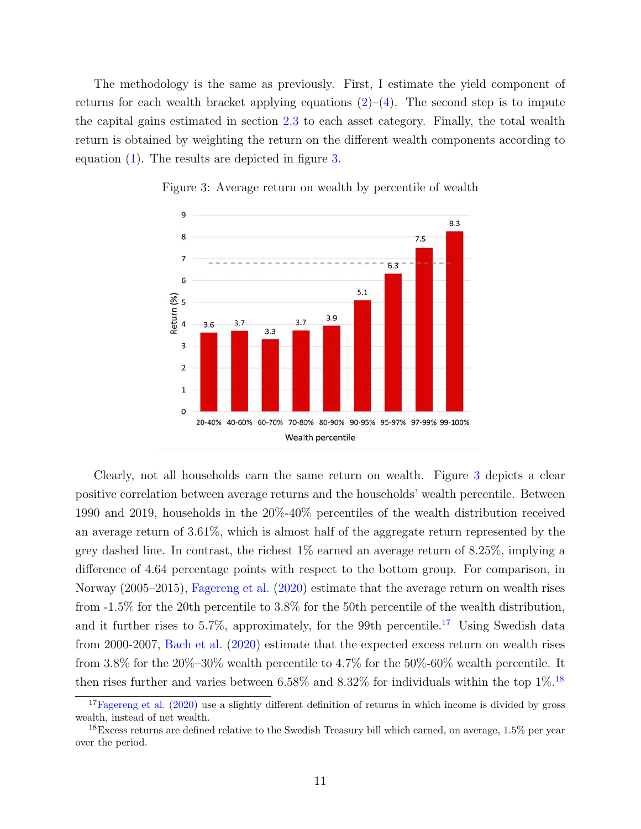The methodology is the same as previously. First, I estimate the yield component of returns for each wealth bracket applying equations  $(2)$ – $(4)$ . The second step is to impute the capital gains estimated in section [2.3](#page-9-4) to each asset category. Finally, the total wealth return is obtained by weighting the return on the different wealth components according to equation [\(1\)](#page-8-3). The results are depicted in figure [3.](#page-11-0)

<span id="page-11-0"></span>

Figure 3: Average return on wealth by percentile of wealth

Clearly, not all households earn the same return on wealth. Figure [3](#page-11-0) depicts a clear positive correlation between average returns and the households' wealth percentile. Between 1990 and 2019, households in the 20%-40% percentiles of the wealth distribution received an average return of 3.61%, which is almost half of the aggregate return represented by the grey dashed line. In contrast, the richest 1% earned an average return of 8.25%, implying a difference of 4.64 percentage points with respect to the bottom group. For comparison, in Norway (2005–2015), [Fagereng et al.](#page-45-3) [\(2020\)](#page-45-3) estimate that the average return on wealth rises from -1.5% for the 20th percentile to 3.8% for the 50th percentile of the wealth distribution, and it further rises to 5.7%, approximately, for the 99th percentile.<sup>[17](#page-11-1)</sup> Using Swedish data from 2000-2007, [Bach et al.](#page-45-2) [\(2020\)](#page-45-2) estimate that the expected excess return on wealth rises from 3.8% for the  $20\%$ -30% wealth percentile to 4.7% for the 50%-60% wealth percentile. It then rises further and varies between  $6.58\%$  and  $8.32\%$  for individuals within the top  $1\%$ .<sup>[18](#page-11-2)</sup>

<span id="page-11-1"></span><sup>&</sup>lt;sup>17</sup>[Fagereng et al.](#page-45-3)  $(2020)$  use a slightly different definition of returns in which income is divided by gross wealth, instead of net wealth.

<span id="page-11-2"></span><sup>&</sup>lt;sup>18</sup>Excess returns are defined relative to the Swedish Treasury bill which earned, on average,  $1.5\%$  per year over the period.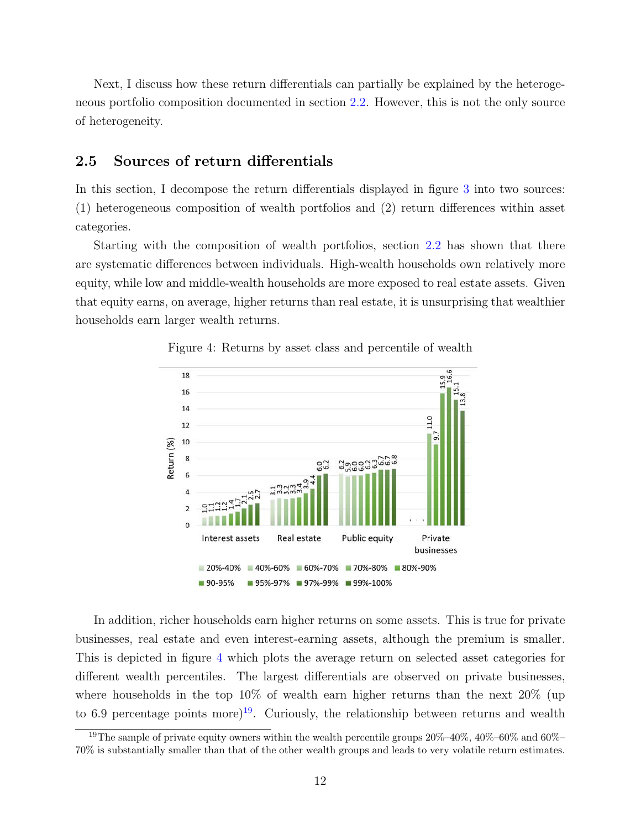Next, I discuss how these return differentials can partially be explained by the heterogeneous portfolio composition documented in section [2.2.](#page-6-1) However, this is not the only source of heterogeneity.

## 2.5 Sources of return differentials

In this section, I decompose the return differentials displayed in figure [3](#page-11-0) into two sources: (1) heterogeneous composition of wealth portfolios and (2) return differences within asset categories.

Starting with the composition of wealth portfolios, section [2.2](#page-6-1) has shown that there are systematic differences between individuals. High-wealth households own relatively more equity, while low and middle-wealth households are more exposed to real estate assets. Given that equity earns, on average, higher returns than real estate, it is unsurprising that wealthier households earn larger wealth returns.

<span id="page-12-0"></span>

Figure 4: Returns by asset class and percentile of wealth

In addition, richer households earn higher returns on some assets. This is true for private businesses, real estate and even interest-earning assets, although the premium is smaller. This is depicted in figure [4](#page-12-0) which plots the average return on selected asset categories for different wealth percentiles. The largest differentials are observed on private businesses, where households in the top 10% of wealth earn higher returns than the next 20% (up to 6.9 percentage points more)<sup>[19](#page-12-1)</sup>. Curiously, the relationship between returns and wealth

<span id="page-12-1"></span><sup>&</sup>lt;sup>19</sup>The sample of private equity owners within the wealth percentile groups  $20\%$ – $40\%$ ,  $40\%$ – $60\%$  and  $60\%$ – 70% is substantially smaller than that of the other wealth groups and leads to very volatile return estimates.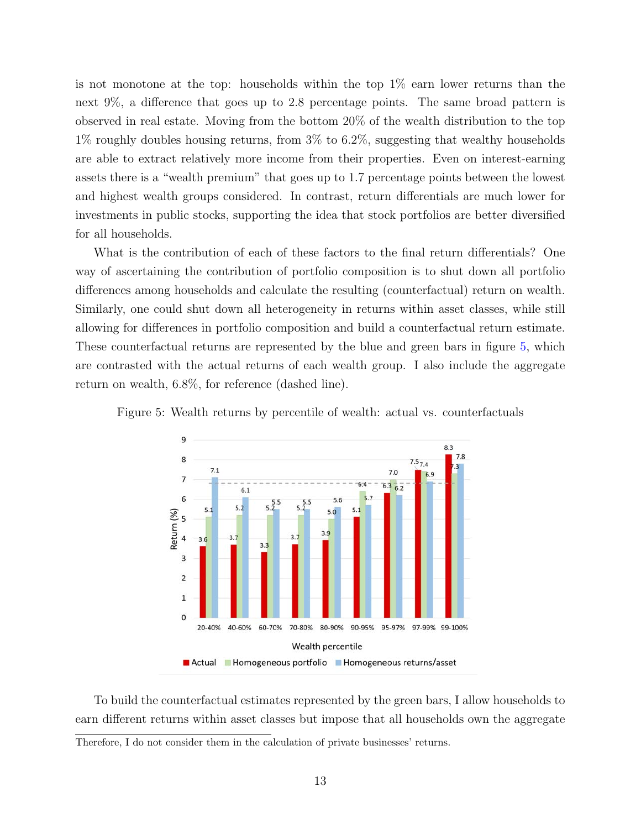is not monotone at the top: households within the top  $1\%$  earn lower returns than the next 9%, a difference that goes up to 2.8 percentage points. The same broad pattern is observed in real estate. Moving from the bottom 20% of the wealth distribution to the top 1% roughly doubles housing returns, from 3% to 6.2%, suggesting that wealthy households are able to extract relatively more income from their properties. Even on interest-earning assets there is a "wealth premium" that goes up to 1.7 percentage points between the lowest and highest wealth groups considered. In contrast, return differentials are much lower for investments in public stocks, supporting the idea that stock portfolios are better diversified for all households.

What is the contribution of each of these factors to the final return differentials? One way of ascertaining the contribution of portfolio composition is to shut down all portfolio differences among households and calculate the resulting (counterfactual) return on wealth. Similarly, one could shut down all heterogeneity in returns within asset classes, while still allowing for differences in portfolio composition and build a counterfactual return estimate. These counterfactual returns are represented by the blue and green bars in figure [5,](#page-13-0) which are contrasted with the actual returns of each wealth group. I also include the aggregate return on wealth, 6.8%, for reference (dashed line).



<span id="page-13-0"></span>Figure 5: Wealth returns by percentile of wealth: actual vs. counterfactuals

To build the counterfactual estimates represented by the green bars, I allow households to earn different returns within asset classes but impose that all households own the aggregate

Therefore, I do not consider them in the calculation of private businesses' returns.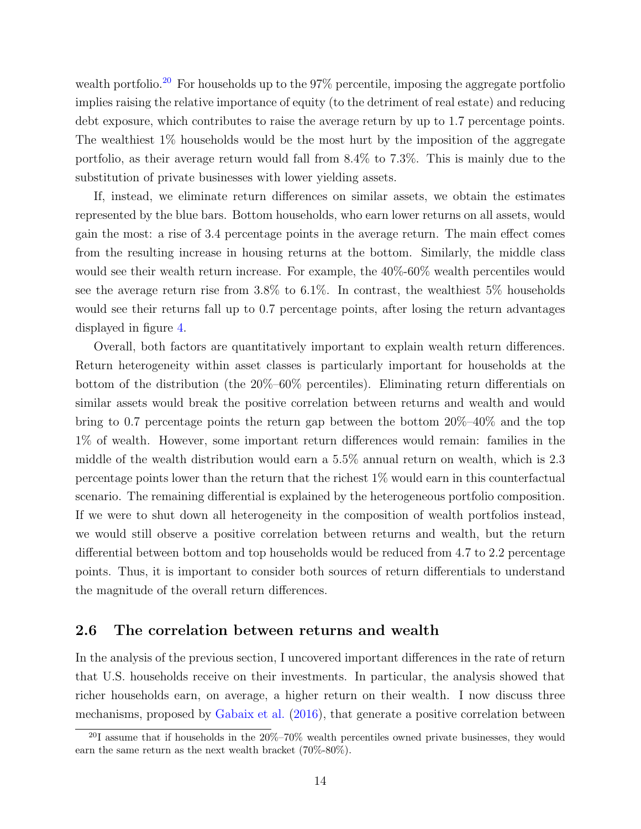wealth portfolio.<sup>[20](#page-14-0)</sup> For households up to the  $97\%$  percentile, imposing the aggregate portfolio implies raising the relative importance of equity (to the detriment of real estate) and reducing debt exposure, which contributes to raise the average return by up to 1.7 percentage points. The wealthiest 1% households would be the most hurt by the imposition of the aggregate portfolio, as their average return would fall from 8.4% to 7.3%. This is mainly due to the substitution of private businesses with lower yielding assets.

If, instead, we eliminate return differences on similar assets, we obtain the estimates represented by the blue bars. Bottom households, who earn lower returns on all assets, would gain the most: a rise of 3.4 percentage points in the average return. The main effect comes from the resulting increase in housing returns at the bottom. Similarly, the middle class would see their wealth return increase. For example, the 40%-60% wealth percentiles would see the average return rise from  $3.8\%$  to  $6.1\%$ . In contrast, the wealthiest  $5\%$  households would see their returns fall up to 0.7 percentage points, after losing the return advantages displayed in figure [4.](#page-12-0)

Overall, both factors are quantitatively important to explain wealth return differences. Return heterogeneity within asset classes is particularly important for households at the bottom of the distribution (the 20%–60% percentiles). Eliminating return differentials on similar assets would break the positive correlation between returns and wealth and would bring to 0.7 percentage points the return gap between the bottom 20%–40% and the top 1% of wealth. However, some important return differences would remain: families in the middle of the wealth distribution would earn a 5.5% annual return on wealth, which is 2.3 percentage points lower than the return that the richest 1% would earn in this counterfactual scenario. The remaining differential is explained by the heterogeneous portfolio composition. If we were to shut down all heterogeneity in the composition of wealth portfolios instead, we would still observe a positive correlation between returns and wealth, but the return differential between bottom and top households would be reduced from 4.7 to 2.2 percentage points. Thus, it is important to consider both sources of return differentials to understand the magnitude of the overall return differences.

#### <span id="page-14-1"></span>2.6 The correlation between returns and wealth

In the analysis of the previous section, I uncovered important differences in the rate of return that U.S. households receive on their investments. In particular, the analysis showed that richer households earn, on average, a higher return on their wealth. I now discuss three mechanisms, proposed by [Gabaix et al.](#page-45-6) [\(2016\)](#page-45-6), that generate a positive correlation between

<span id="page-14-0"></span> $^{20}$ I assume that if households in the  $20\% - 70\%$  wealth percentiles owned private businesses, they would earn the same return as the next wealth bracket (70%-80%).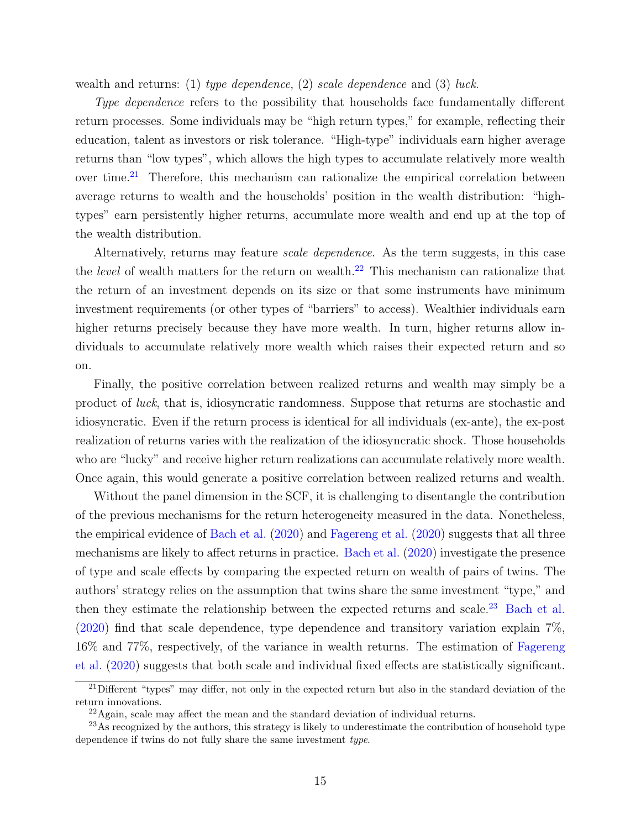wealth and returns: (1) type dependence, (2) scale dependence and (3) luck.

Type dependence refers to the possibility that households face fundamentally different return processes. Some individuals may be "high return types," for example, reflecting their education, talent as investors or risk tolerance. "High-type" individuals earn higher average returns than "low types", which allows the high types to accumulate relatively more wealth over time.<sup>[21](#page-15-0)</sup> Therefore, this mechanism can rationalize the empirical correlation between average returns to wealth and the households' position in the wealth distribution: "hightypes" earn persistently higher returns, accumulate more wealth and end up at the top of the wealth distribution.

Alternatively, returns may feature *scale dependence*. As the term suggests, in this case the *level* of wealth matters for the return on wealth.<sup>[22](#page-15-1)</sup> This mechanism can rationalize that the return of an investment depends on its size or that some instruments have minimum investment requirements (or other types of "barriers" to access). Wealthier individuals earn higher returns precisely because they have more wealth. In turn, higher returns allow individuals to accumulate relatively more wealth which raises their expected return and so on.

Finally, the positive correlation between realized returns and wealth may simply be a product of luck, that is, idiosyncratic randomness. Suppose that returns are stochastic and idiosyncratic. Even if the return process is identical for all individuals (ex-ante), the ex-post realization of returns varies with the realization of the idiosyncratic shock. Those households who are "lucky" and receive higher return realizations can accumulate relatively more wealth. Once again, this would generate a positive correlation between realized returns and wealth.

Without the panel dimension in the SCF, it is challenging to disentangle the contribution of the previous mechanisms for the return heterogeneity measured in the data. Nonetheless, the empirical evidence of [Bach et al.](#page-45-2) [\(2020\)](#page-45-2) and [Fagereng et al.](#page-45-3) [\(2020\)](#page-45-3) suggests that all three mechanisms are likely to affect returns in practice. [Bach et al.](#page-45-2) [\(2020\)](#page-45-2) investigate the presence of type and scale effects by comparing the expected return on wealth of pairs of twins. The authors' strategy relies on the assumption that twins share the same investment "type," and then they estimate the relationship between the expected returns and scale.<sup>[23](#page-15-2)</sup> [Bach et al.](#page-45-2) [\(2020\)](#page-45-2) find that scale dependence, type dependence and transitory variation explain 7%, 16% and 77%, respectively, of the variance in wealth returns. The estimation of [Fagereng](#page-45-3) [et al.](#page-45-3) [\(2020\)](#page-45-3) suggests that both scale and individual fixed effects are statistically significant.

<span id="page-15-0"></span> $^{21}$ Different "types" may differ, not only in the expected return but also in the standard deviation of the return innovations.

<span id="page-15-2"></span><span id="page-15-1"></span><sup>22</sup>Again, scale may affect the mean and the standard deviation of individual returns.

<sup>&</sup>lt;sup>23</sup>As recognized by the authors, this strategy is likely to underestimate the contribution of household type dependence if twins do not fully share the same investment type.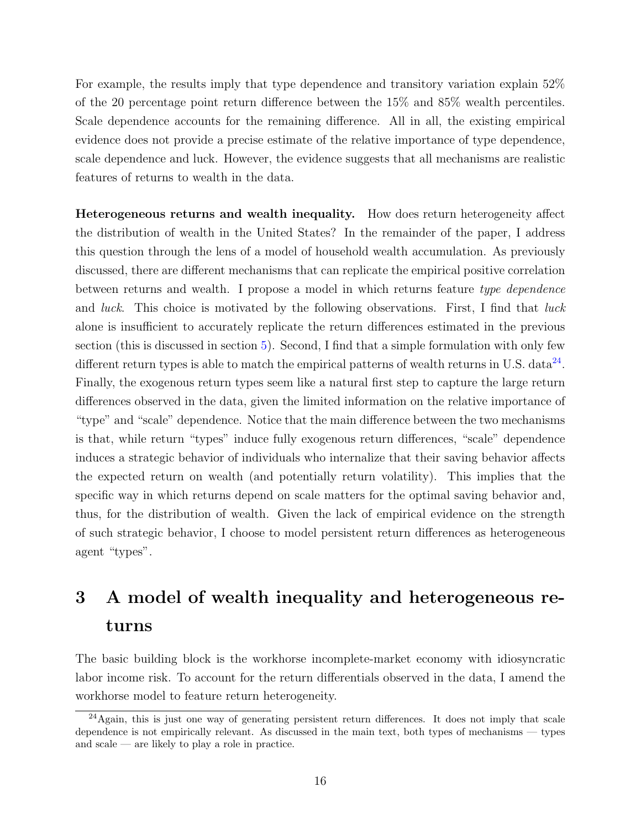For example, the results imply that type dependence and transitory variation explain 52% of the 20 percentage point return difference between the 15% and 85% wealth percentiles. Scale dependence accounts for the remaining difference. All in all, the existing empirical evidence does not provide a precise estimate of the relative importance of type dependence, scale dependence and luck. However, the evidence suggests that all mechanisms are realistic features of returns to wealth in the data.

Heterogeneous returns and wealth inequality. How does return heterogeneity affect the distribution of wealth in the United States? In the remainder of the paper, I address this question through the lens of a model of household wealth accumulation. As previously discussed, there are different mechanisms that can replicate the empirical positive correlation between returns and wealth. I propose a model in which returns feature type dependence and *luck*. This choice is motivated by the following observations. First, I find that *luck* alone is insufficient to accurately replicate the return differences estimated in the previous section (this is discussed in section [5\)](#page-28-0). Second, I find that a simple formulation with only few different return types is able to match the empirical patterns of wealth returns in U.S. data<sup>[24](#page-16-1)</sup>. Finally, the exogenous return types seem like a natural first step to capture the large return differences observed in the data, given the limited information on the relative importance of "type" and "scale" dependence. Notice that the main difference between the two mechanisms is that, while return "types" induce fully exogenous return differences, "scale" dependence induces a strategic behavior of individuals who internalize that their saving behavior affects the expected return on wealth (and potentially return volatility). This implies that the specific way in which returns depend on scale matters for the optimal saving behavior and, thus, for the distribution of wealth. Given the lack of empirical evidence on the strength of such strategic behavior, I choose to model persistent return differences as heterogeneous agent "types".

# <span id="page-16-0"></span>3 A model of wealth inequality and heterogeneous returns

The basic building block is the workhorse incomplete-market economy with idiosyncratic labor income risk. To account for the return differentials observed in the data, I amend the workhorse model to feature return heterogeneity.

<span id="page-16-1"></span> $24$ Again, this is just one way of generating persistent return differences. It does not imply that scale dependence is not empirically relevant. As discussed in the main text, both types of mechanisms — types and scale — are likely to play a role in practice.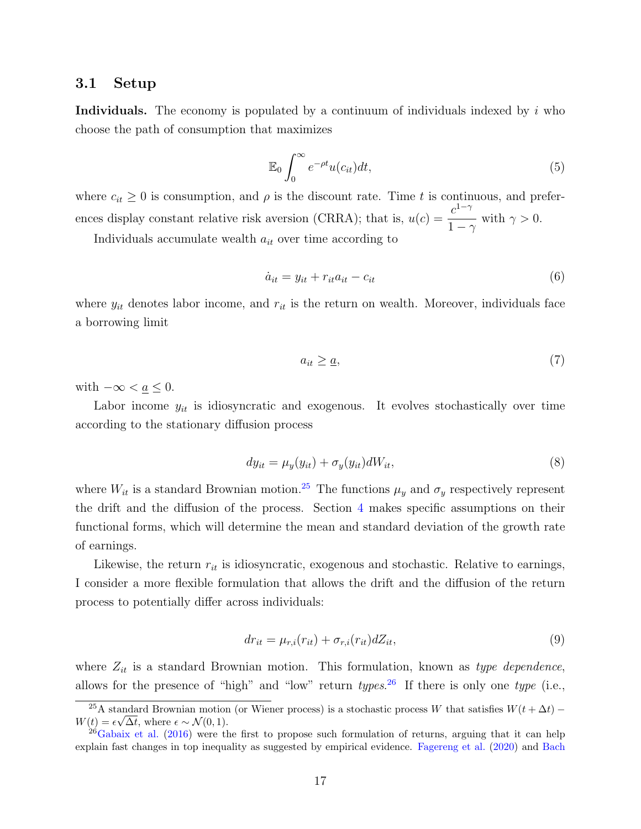#### 3.1 Setup

Individuals. The economy is populated by a continuum of individuals indexed by  $i$  who choose the path of consumption that maximizes

<span id="page-17-2"></span>
$$
\mathbb{E}_0 \int_0^\infty e^{-\rho t} u(c_{it}) dt,
$$
\n(5)

where  $c_{it} \geq 0$  is consumption, and  $\rho$  is the discount rate. Time t is continuous, and preferences display constant relative risk aversion (CRRA); that is,  $u(c) = \frac{c^{1-\gamma}}{1-\gamma}$  $1-\gamma$ with  $\gamma > 0$ .

Individuals accumulate wealth  $a_{it}$  over time according to

<span id="page-17-3"></span>
$$
\dot{a}_{it} = y_{it} + r_{it}a_{it} - c_{it} \tag{6}
$$

where  $y_{it}$  denotes labor income, and  $r_{it}$  is the return on wealth. Moreover, individuals face a borrowing limit

<span id="page-17-4"></span>
$$
a_{it} \ge \underline{a},\tag{7}
$$

with  $-\infty < \underline{a} \leq 0$ .

Labor income  $y_{it}$  is idiosyncratic and exogenous. It evolves stochastically over time according to the stationary diffusion process

<span id="page-17-5"></span>
$$
dy_{it} = \mu_y(y_{it}) + \sigma_y(y_{it})dW_{it},\tag{8}
$$

where  $W_{it}$  is a standard Brownian motion.<sup>[25](#page-17-0)</sup> The functions  $\mu_y$  and  $\sigma_y$  respectively represent the drift and the diffusion of the process. Section [4](#page-19-0) makes specific assumptions on their functional forms, which will determine the mean and standard deviation of the growth rate of earnings.

Likewise, the return  $r_{it}$  is idiosyncratic, exogenous and stochastic. Relative to earnings, I consider a more flexible formulation that allows the drift and the diffusion of the return process to potentially differ across individuals:

<span id="page-17-6"></span>
$$
dr_{it} = \mu_{r,i}(r_{it}) + \sigma_{r,i}(r_{it})dZ_{it},\tag{9}
$$

where  $Z_{it}$  is a standard Brownian motion. This formulation, known as type dependence, allows for the presence of "high" and "low" return  $types.^{26}$  $types.^{26}$  $types.^{26}$  If there is only one type (i.e.,

<span id="page-17-0"></span><sup>&</sup>lt;sup>25</sup>A standard Brownian motion (or Wiener process) is a stochastic process W that satisfies  $W(t + \Delta t)$  −  $W(t) = \epsilon \sqrt{\Delta t}$ , where  $\epsilon \sim \mathcal{N}(0, 1)$ .

<span id="page-17-1"></span> $^{26}$ [Gabaix et al.](#page-45-6) [\(2016\)](#page-45-6) were the first to propose such formulation of returns, arguing that it can help explain fast changes in top inequality as suggested by empirical evidence. [Fagereng et al.](#page-45-3) [\(2020\)](#page-45-3) and [Bach](#page-45-2)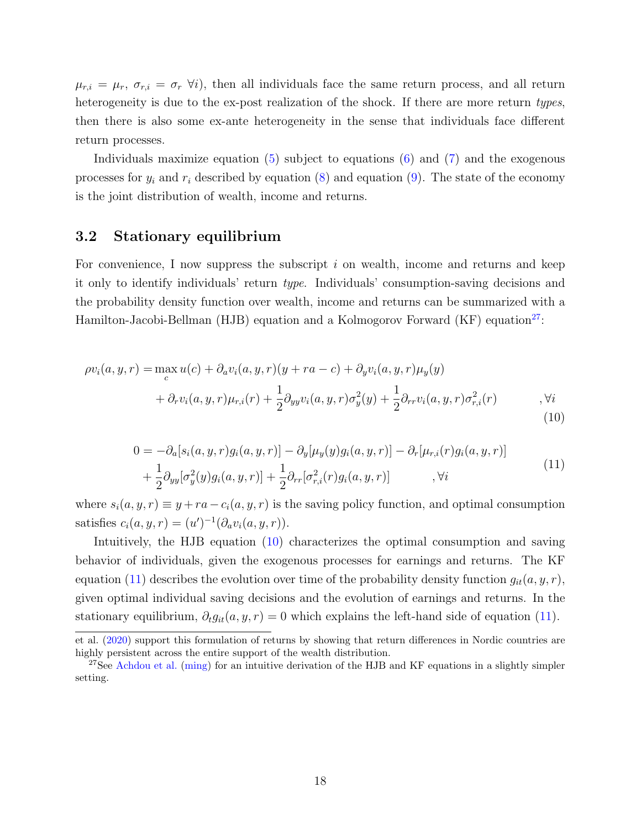$\mu_{r,i} = \mu_r$ ,  $\sigma_{r,i} = \sigma_r \; \forall i$ , then all individuals face the same return process, and all return [heterogeneity is due to the ex-post realization of the shock. If there are more return](#page-45-2) types, [then there is also some ex-ante heterogeneity in the sense that individuals face different](#page-45-2) [return processes.](#page-45-2)

[Individuals maximize equation \(5\) subject to equations \(6\) and \(7\) and the exogenous](#page-45-2) processes for  $y_i$  and  $r_i$  [described by equation \(8\) and equation \(9\). The state of the economy](#page-45-2) [is the joint distribution of wealth, income and returns.](#page-45-2)

## [3.2 Stationary equilibrium](#page-45-2)

[For convenience, I now suppress the subscript](#page-45-2)  $i$  on wealth, income and returns and keep it only to identify individuals' return type[. Individuals' consumption-saving decisions and](#page-45-2) [the probability density function over wealth, income and returns can be summarized with a](#page-45-2) [Hamilton-Jacobi-Bellman \(HJB\) equation and a Kolmogorov Forward \(KF\) equation](#page-45-2)<sup>[27](#page-18-0)</sup>:

<span id="page-18-1"></span>
$$
\rho v_i(a, y, r) = \max_c u(c) + \partial_a v_i(a, y, r)(y + ra - c) + \partial_y v_i(a, y, r)\mu_y(y) + \partial_r v_i(a, y, r)\mu_{r,i}(r) + \frac{1}{2}\partial_{yy} v_i(a, y, r)\sigma_y^2(y) + \frac{1}{2}\partial_{rr} v_i(a, y, r)\sigma_{r,i}^2(r) \qquad , \forall i
$$
\n(10)

<span id="page-18-2"></span>
$$
0 = -\partial_a[s_i(a, y, r)g_i(a, y, r)] - \partial_y[\mu_y(y)g_i(a, y, r)] - \partial_r[\mu_{r,i}(r)g_i(a, y, r)] + \frac{1}{2}\partial_{yy}[\sigma_y^2(y)g_i(a, y, r)] + \frac{1}{2}\partial_{rr}[\sigma_{r,i}^2(r)g_i(a, y, r)] , \forall i
$$
\n(11)

where  $s_i(a, y, r) \equiv y + ra - c_i(a, y, r)$  is the saving policy function, and optimal consumption [satisfies](#page-45-2)  $c_i(a, y, r) = (u')^{-1}(\partial_a v_i(a, y, r)).$ 

[Intuitively, the HJB equation \(10\) characterizes the optimal consumption and saving](#page-45-2) [behavior of individuals, given the exogenous processes for earnings and returns. The KF](#page-45-2) [equation \(11\) describes the evolution over time of the probability density function](#page-45-2)  $g_{it}(a, y, r)$ , [given optimal individual saving decisions and the evolution of earnings and returns. In the](#page-45-2) stationary equilibrium,  $\partial_t g_{it}(a, y, r) = 0$  which explains the left-hand side of equation (11).

[et al.](#page-45-2) [\(2020\)](#page-45-2) support this formulation of returns by showing that return differences in Nordic countries are highly persistent across the entire support of the wealth distribution.

<span id="page-18-0"></span><sup>&</sup>lt;sup>27</sup>See [Achdou et al.](#page-45-17) [\(ming\)](#page-45-17) for an intuitive derivation of the HJB and KF equations in a slightly simpler setting.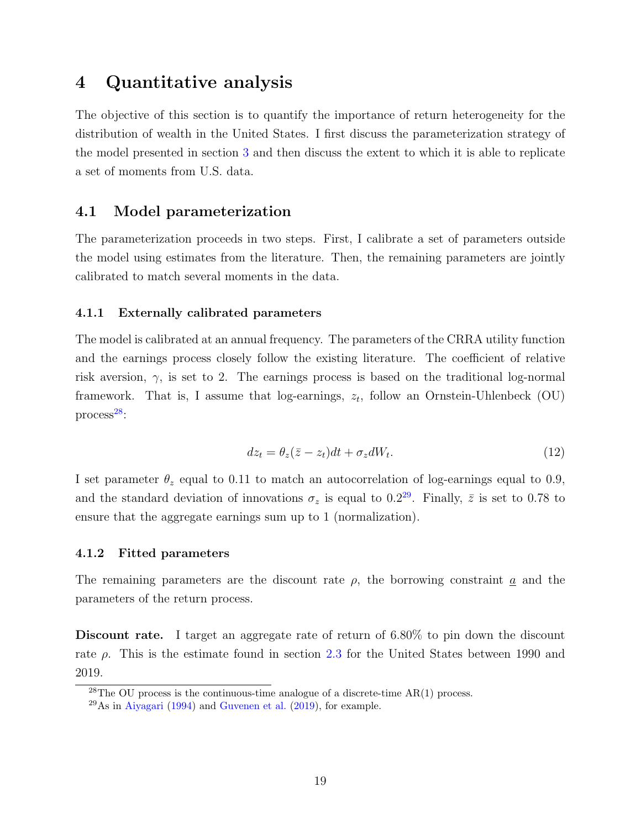## <span id="page-19-0"></span>4 Quantitative analysis

The objective of this section is to quantify the importance of return heterogeneity for the distribution of wealth in the United States. I first discuss the parameterization strategy of the model presented in section [3](#page-16-0) and then discuss the extent to which it is able to replicate a set of moments from U.S. data.

## 4.1 Model parameterization

The parameterization proceeds in two steps. First, I calibrate a set of parameters outside the model using estimates from the literature. Then, the remaining parameters are jointly calibrated to match several moments in the data.

#### 4.1.1 Externally calibrated parameters

The model is calibrated at an annual frequency. The parameters of the CRRA utility function and the earnings process closely follow the existing literature. The coefficient of relative risk aversion,  $\gamma$ , is set to 2. The earnings process is based on the traditional log-normal framework. That is, I assume that log-earnings,  $z_t$ , follow an Ornstein-Uhlenbeck (OU) process $^{28}$  $^{28}$  $^{28}$ :

$$
dz_t = \theta_z(\bar{z} - z_t)dt + \sigma_z dW_t.
$$
\n(12)

I set parameter  $\theta_z$  equal to 0.11 to match an autocorrelation of log-earnings equal to 0.9, and the standard deviation of innovations  $\sigma_z$  is equal to 0.2<sup>[29](#page-19-2)</sup>. Finally,  $\bar{z}$  is set to 0.78 to ensure that the aggregate earnings sum up to 1 (normalization).

#### 4.1.2 Fitted parameters

The remaining parameters are the discount rate  $\rho$ , the borrowing constraint  $\underline{a}$  and the parameters of the return process.

Discount rate. I target an aggregate rate of return of 6.80% to pin down the discount rate  $\rho$ . This is the estimate found in section [2.3](#page-7-2) for the United States between 1990 and 2019.

<span id="page-19-1"></span><sup>&</sup>lt;sup>28</sup>The OU process is the continuous-time analogue of a discrete-time  $AR(1)$  process.

<span id="page-19-2"></span> $^{29}$ As in [Aiyagari](#page-45-12) [\(1994\)](#page-45-12) and [Guvenen et al.](#page-45-18) [\(2019\)](#page-45-18), for example.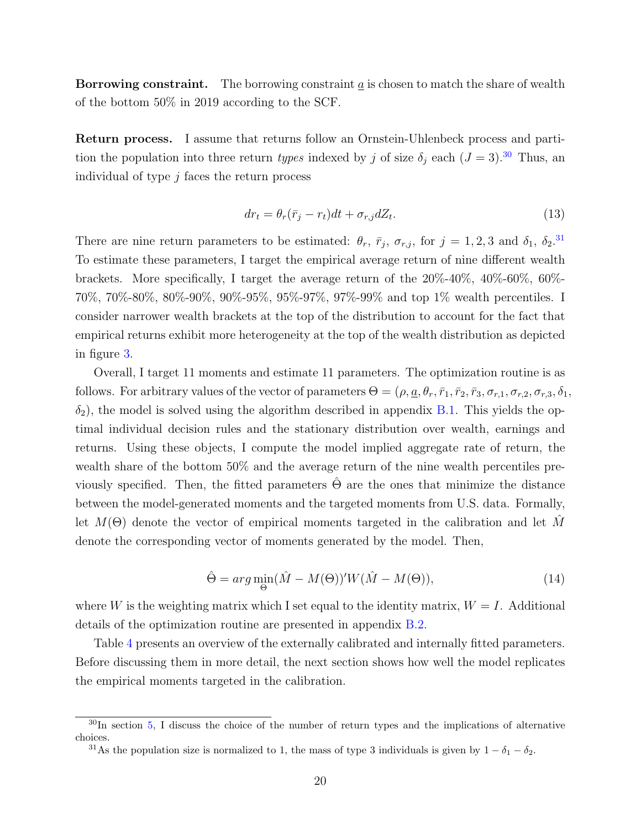**Borrowing constraint.** The borrowing constraint  $\alpha$  is chosen to match the share of wealth of the bottom 50% in 2019 according to the SCF.

Return process. I assume that returns follow an Ornstein-Uhlenbeck process and partition the population into three return types indexed by j of size  $\delta_j$  each  $(J = 3)$ .<sup>[30](#page-20-0)</sup> Thus, an individual of type  $j$  faces the return process

$$
dr_t = \theta_r(\bar{r}_j - r_t)dt + \sigma_{r,j}dZ_t.
$$
\n(13)

There are nine return parameters to be estimated:  $\theta_r$ ,  $\bar{r}_j$ ,  $\sigma_{r,j}$ , for  $j = 1, 2, 3$  and  $\delta_1$ ,  $\delta_2$ .<sup>[31](#page-20-1)</sup> To estimate these parameters, I target the empirical average return of nine different wealth brackets. More specifically, I target the average return of the 20%-40%, 40%-60%, 60%- 70%, 70%-80%, 80%-90%, 90%-95%, 95%-97%, 97%-99% and top 1% wealth percentiles. I consider narrower wealth brackets at the top of the distribution to account for the fact that empirical returns exhibit more heterogeneity at the top of the wealth distribution as depicted in figure [3.](#page-11-0)

Overall, I target 11 moments and estimate 11 parameters. The optimization routine is as follows. For arbitrary values of the vector of parameters  $\Theta = (\rho, \underline{a}, \theta_r, \overline{r}_1, \overline{r}_2, \overline{r}_3, \sigma_{r,1}, \sigma_{r,2}, \sigma_{r,3}, \delta_1, \sigma_{r,3}, \delta_2)$  $\delta_2$ ), the model is solved using the algorithm described in appendix [B.1.](#page-38-1) This yields the optimal individual decision rules and the stationary distribution over wealth, earnings and returns. Using these objects, I compute the model implied aggregate rate of return, the wealth share of the bottom 50% and the average return of the nine wealth percentiles previously specified. Then, the fitted parameters  $\hat{\Theta}$  are the ones that minimize the distance between the model-generated moments and the targeted moments from U.S. data. Formally, let  $M(\Theta)$  denote the vector of empirical moments targeted in the calibration and let M denote the corresponding vector of moments generated by the model. Then,

$$
\hat{\Theta} = arg \min_{\Theta} (\hat{M} - M(\Theta))' W (\hat{M} - M(\Theta)), \tag{14}
$$

where W is the weighting matrix which I set equal to the identity matrix,  $W = I$ . Additional details of the optimization routine are presented in appendix [B.2.](#page-41-0)

Table [4](#page-21-0) presents an overview of the externally calibrated and internally fitted parameters. Before discussing them in more detail, the next section shows how well the model replicates the empirical moments targeted in the calibration.

<span id="page-20-0"></span> $30$ In section [5,](#page-28-0) I discuss the choice of the number of return types and the implications of alternative choices.

<span id="page-20-1"></span><sup>&</sup>lt;sup>31</sup>As the population size is normalized to 1, the mass of type 3 individuals is given by  $1 - \delta_1 - \delta_2$ .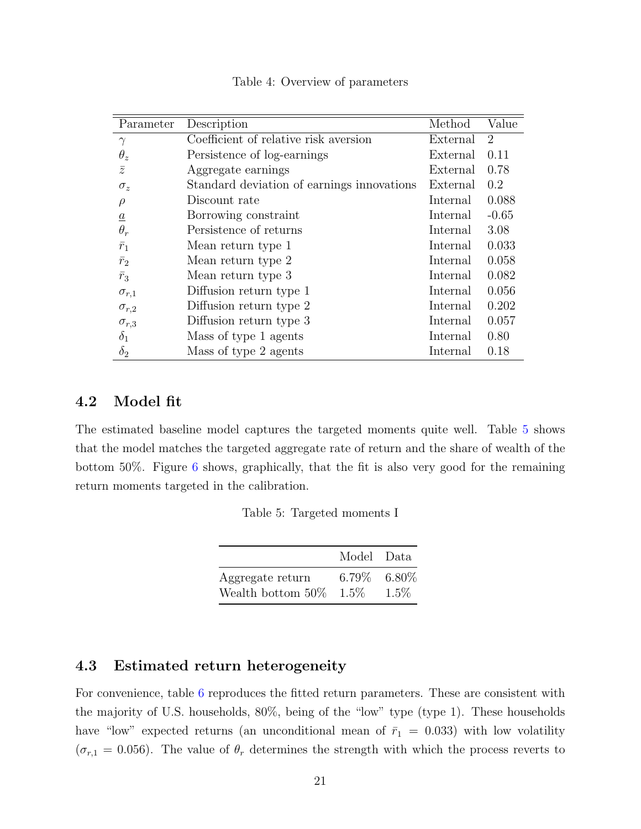<span id="page-21-0"></span>

| Parameter       | Description                                | Method   | Value          |
|-----------------|--------------------------------------------|----------|----------------|
| $\gamma$        | Coefficient of relative risk aversion      | External | $\overline{2}$ |
| $\theta_z$      | Persistence of log-earnings                | External | 0.11           |
| $\overline{z}$  | Aggregate earnings                         | External | 0.78           |
| $\sigma_z$      | Standard deviation of earnings innovations | External | 0.2            |
| $\rho$          | Discount rate                              | Internal | 0.088          |
| $\underline{a}$ | Borrowing constraint                       | Internal | $-0.65$        |
| $\theta_r$      | Persistence of returns                     | Internal | 3.08           |
| $\bar{r}_1$     | Mean return type 1                         | Internal | 0.033          |
| $\bar{r}_2$     | Mean return type 2                         | Internal | 0.058          |
| $\bar{r}_3$     | Mean return type 3                         | Internal | 0.082          |
| $\sigma_{r,1}$  | Diffusion return type 1                    | Internal | 0.056          |
| $\sigma_{r,2}$  | Diffusion return type 2                    | Internal | 0.202          |
| $\sigma_{r,3}$  | Diffusion return type 3                    | Internal | 0.057          |
| $\delta_1$      | Mass of type 1 agents                      | Internal | 0.80           |
| $\delta_2$      | Mass of type 2 agents                      | Internal | 0.18           |

Table 4: Overview of parameters

## 4.2 Model fit

<span id="page-21-1"></span>The estimated baseline model captures the targeted moments quite well. Table [5](#page-21-1) shows that the model matches the targeted aggregate rate of return and the share of wealth of the bottom 50%. Figure [6](#page-22-0) shows, graphically, that the fit is also very good for the remaining return moments targeted in the calibration.

Table 5: Targeted moments I

|                    | Model Data        |         |
|--------------------|-------------------|---------|
| Aggregate return   | $6.79\%$ $6.80\%$ |         |
| Wealth bottom 50\% | $1.5\%$           | $1.5\%$ |

## <span id="page-21-2"></span>4.3 Estimated return heterogeneity

For convenience, table [6](#page-22-1) reproduces the fitted return parameters. These are consistent with the majority of U.S. households, 80%, being of the "low" type (type 1). These households have "low" expected returns (an unconditional mean of  $\bar{r}_1 = 0.033$ ) with low volatility  $(\sigma_{r,1} = 0.056)$ . The value of  $\theta_r$  determines the strength with which the process reverts to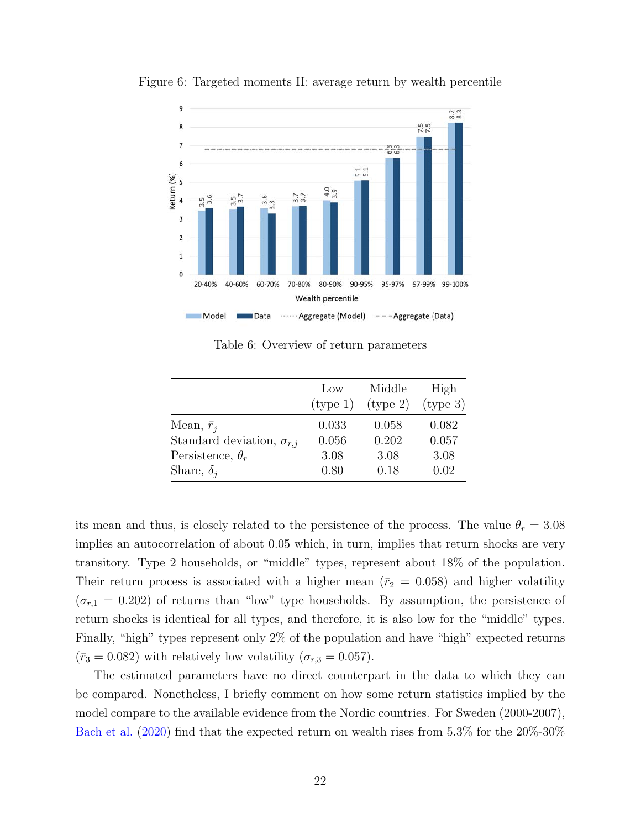

<span id="page-22-0"></span>Figure 6: Targeted moments II: average return by wealth percentile

Table 6: Overview of return parameters

<span id="page-22-1"></span>

|                                    | $_{\text{LOW}}$ | Middle   | High     |
|------------------------------------|-----------------|----------|----------|
|                                    | (type 1)        | (type 2) | (type 3) |
| Mean, $\bar{r}_i$                  | 0.033           | 0.058    | 0.082    |
| Standard deviation, $\sigma_{r,j}$ | 0.056           | 0.202    | 0.057    |
| Persistence, $\theta_r$            | 3.08            | 3.08     | 3.08     |
| Share, $\delta_i$                  | 0.80            | 0.18     | 0.02     |

its mean and thus, is closely related to the persistence of the process. The value  $\theta_r = 3.08$ implies an autocorrelation of about 0.05 which, in turn, implies that return shocks are very transitory. Type 2 households, or "middle" types, represent about 18% of the population. Their return process is associated with a higher mean ( $\bar{r}_2$  = 0.058) and higher volatility  $(\sigma_{r,1} = 0.202)$  of returns than "low" type households. By assumption, the persistence of return shocks is identical for all types, and therefore, it is also low for the "middle" types. Finally, "high" types represent only 2% of the population and have "high" expected returns  $(\bar{r}_3 = 0.082)$  with relatively low volatility  $(\sigma_{r,3} = 0.057)$ .

The estimated parameters have no direct counterpart in the data to which they can be compared. Nonetheless, I briefly comment on how some return statistics implied by the model compare to the available evidence from the Nordic countries. For Sweden (2000-2007), [Bach et al.](#page-45-2) [\(2020\)](#page-45-2) find that the expected return on wealth rises from 5.3% for the 20%-30%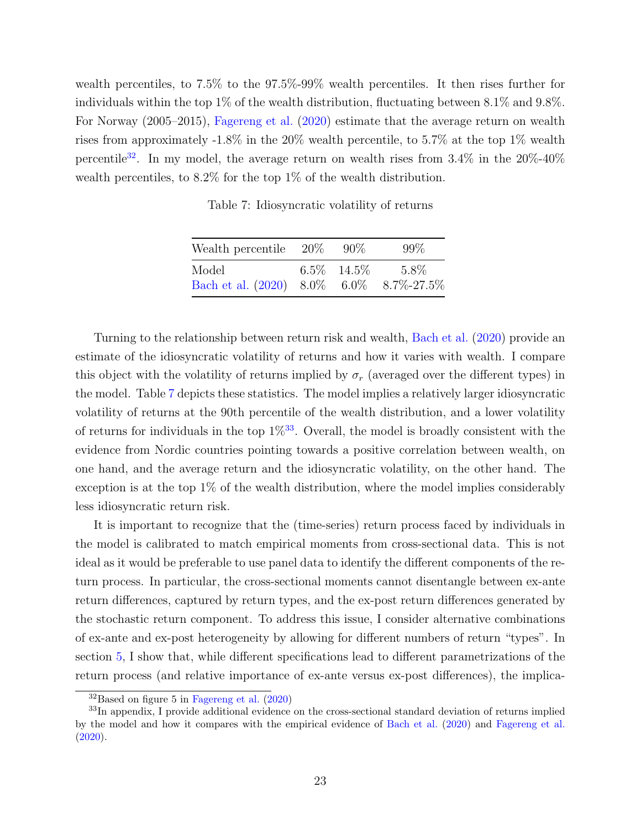<span id="page-23-1"></span>wealth percentiles, to 7.5% to the 97.5%-99% wealth percentiles. It then rises further for individuals within the top 1% of the wealth distribution, fluctuating between 8.1% and 9.8%. For Norway (2005–2015), [Fagereng et al.](#page-45-3) [\(2020\)](#page-45-3) estimate that the average return on wealth rises from approximately -1.8% in the 20% wealth percentile, to 5.7% at the top 1% wealth percentile<sup>[32](#page-23-0)</sup>. In my model, the average return on wealth rises from  $3.4\%$  in the  $20\%$ - $40\%$ wealth percentiles, to 8.2% for the top 1% of the wealth distribution.

Table 7: Idiosyncratic volatility of returns

| Wealth percentile $20\%$                  | $90\%$         | 99%  |
|-------------------------------------------|----------------|------|
| Model                                     | $6.5\%$ 14.5\% | 5.8% |
| Bach et al. $(2020)$ 8.0% 6.0% 8.7%-27.5% |                |      |

Turning to the relationship between return risk and wealth, [Bach et al.](#page-45-2) [\(2020\)](#page-45-2) provide an estimate of the idiosyncratic volatility of returns and how it varies with wealth. I compare this object with the volatility of returns implied by  $\sigma_r$  (averaged over the different types) in the model. Table [7](#page-23-1) depicts these statistics. The model implies a relatively larger idiosyncratic volatility of returns at the 90th percentile of the wealth distribution, and a lower volatility of returns for individuals in the top  $1\%^{33}$  $1\%^{33}$  $1\%^{33}$ . Overall, the model is broadly consistent with the evidence from Nordic countries pointing towards a positive correlation between wealth, on one hand, and the average return and the idiosyncratic volatility, on the other hand. The exception is at the top 1% of the wealth distribution, where the model implies considerably less idiosyncratic return risk.

It is important to recognize that the (time-series) return process faced by individuals in the model is calibrated to match empirical moments from cross-sectional data. This is not ideal as it would be preferable to use panel data to identify the different components of the return process. In particular, the cross-sectional moments cannot disentangle between ex-ante return differences, captured by return types, and the ex-post return differences generated by the stochastic return component. To address this issue, I consider alternative combinations of ex-ante and ex-post heterogeneity by allowing for different numbers of return "types". In section [5,](#page-28-0) I show that, while different specifications lead to different parametrizations of the return process (and relative importance of ex-ante versus ex-post differences), the implica-

<span id="page-23-2"></span><span id="page-23-0"></span> $32B$ ased on figure 5 in [Fagereng et al.](#page-45-3)  $(2020)$ 

<sup>&</sup>lt;sup>33</sup>In appendix, I provide additional evidence on the cross-sectional standard deviation of returns implied by the model and how it compares with the empirical evidence of [Bach et al.](#page-45-2) [\(2020\)](#page-45-2) and [Fagereng et al.](#page-45-3)  $(2020).$  $(2020).$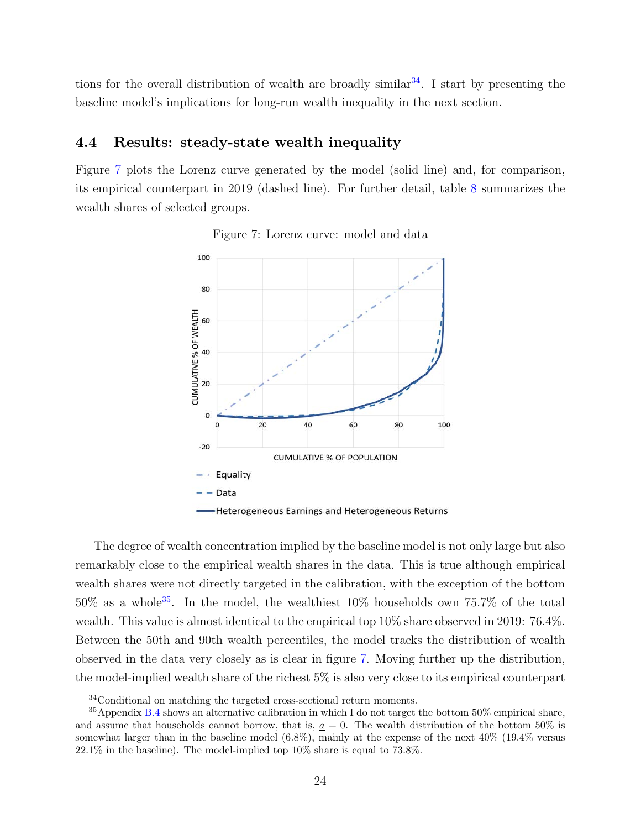tions for the overall distribution of wealth are broadly similar<sup>[34](#page-24-0)</sup>. I start by presenting the baseline model's implications for long-run wealth inequality in the next section.

## 4.4 Results: steady-state wealth inequality

<span id="page-24-1"></span>Figure [7](#page-24-1) plots the Lorenz curve generated by the model (solid line) and, for comparison, its empirical counterpart in 2019 (dashed line). For further detail, table [8](#page-25-0) summarizes the wealth shares of selected groups.



Figure 7: Lorenz curve: model and data

The degree of wealth concentration implied by the baseline model is not only large but also remarkably close to the empirical wealth shares in the data. This is true although empirical wealth shares were not directly targeted in the calibration, with the exception of the bottom 50% as a whole[35](#page-24-2). In the model, the wealthiest 10% households own 75.7% of the total wealth. This value is almost identical to the empirical top 10% share observed in 2019: 76.4%. Between the 50th and 90th wealth percentiles, the model tracks the distribution of wealth observed in the data very closely as is clear in figure [7.](#page-24-1) Moving further up the distribution, the model-implied wealth share of the richest 5% is also very close to its empirical counterpart

<span id="page-24-2"></span><span id="page-24-0"></span><sup>34</sup>Conditional on matching the targeted cross-sectional return moments.

<sup>35</sup>Appendix [B.4](#page-42-0) shows an alternative calibration in which I do not target the bottom 50% empirical share, and assume that households cannot borrow, that is,  $\underline{a} = 0$ . The wealth distribution of the bottom 50% is somewhat larger than in the baseline model (6.8%), mainly at the expense of the next 40% (19.4% versus  $22.1\%$  in the baseline). The model-implied top  $10\%$  share is equal to 73.8%.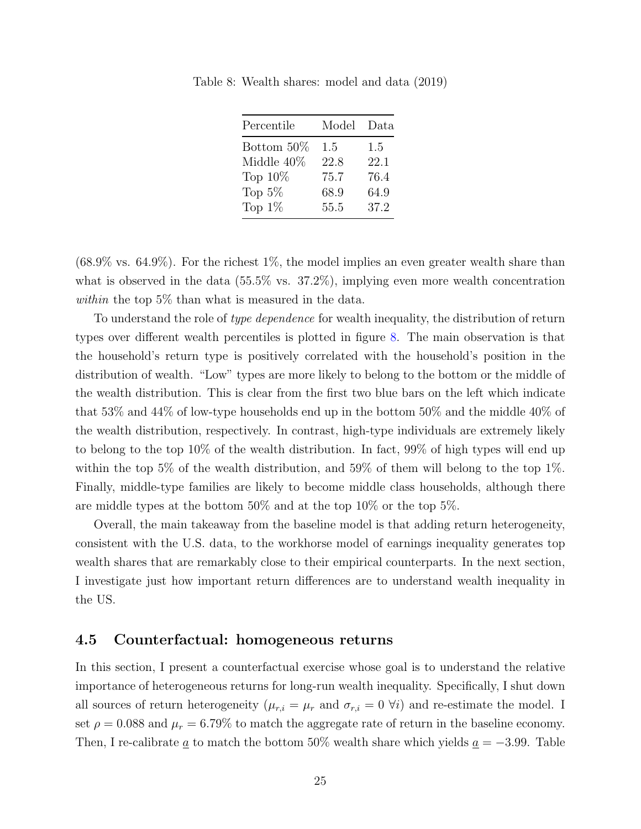| Percentile | Model | Data |
|------------|-------|------|
| Bottom 50% | 1.5   | 1.5  |
| Middle 40% | 22.8  | 22.1 |
| Top $10\%$ | 75.7  | 76.4 |
| Top $5\%$  | 68.9  | 64.9 |
| Top $1\%$  | 55.5  | 37.2 |

<span id="page-25-0"></span>Table 8: Wealth shares: model and data (2019)

 $(68.9\% \text{ vs. } 64.9\%)$ . For the richest 1%, the model implies an even greater wealth share than what is observed in the data (55.5% vs. 37.2%), implying even more wealth concentration within the top 5\% than what is measured in the data.

To understand the role of *type dependence* for wealth inequality, the distribution of return types over different wealth percentiles is plotted in figure [8.](#page-26-0) The main observation is that the household's return type is positively correlated with the household's position in the distribution of wealth. "Low" types are more likely to belong to the bottom or the middle of the wealth distribution. This is clear from the first two blue bars on the left which indicate that 53% and 44% of low-type households end up in the bottom 50% and the middle 40% of the wealth distribution, respectively. In contrast, high-type individuals are extremely likely to belong to the top 10% of the wealth distribution. In fact, 99% of high types will end up within the top 5% of the wealth distribution, and 59% of them will belong to the top 1%. Finally, middle-type families are likely to become middle class households, although there are middle types at the bottom 50% and at the top 10% or the top 5%.

Overall, the main takeaway from the baseline model is that adding return heterogeneity, consistent with the U.S. data, to the workhorse model of earnings inequality generates top wealth shares that are remarkably close to their empirical counterparts. In the next section, I investigate just how important return differences are to understand wealth inequality in the US.

#### 4.5 Counterfactual: homogeneous returns

In this section, I present a counterfactual exercise whose goal is to understand the relative importance of heterogeneous returns for long-run wealth inequality. Specifically, I shut down all sources of return heterogeneity ( $\mu_{r,i} = \mu_r$  and  $\sigma_{r,i} = 0 \forall i$ ) and re-estimate the model. I set  $\rho = 0.088$  and  $\mu_r = 6.79\%$  to match the aggregate rate of return in the baseline economy. Then, I re-calibrate  $\underline{a}$  to match the bottom 50% wealth share which yields  $\underline{a} = -3.99$ . Table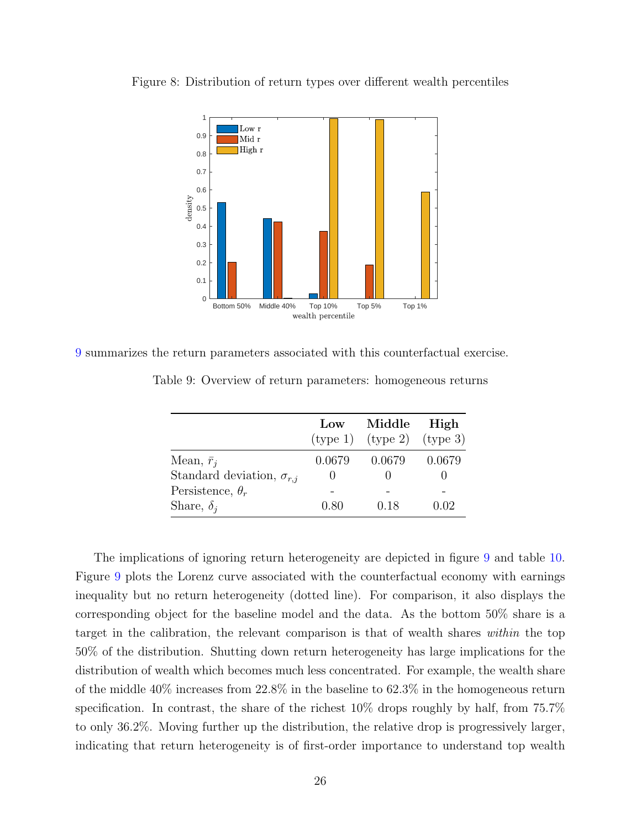

<span id="page-26-0"></span>Figure 8: Distribution of return types over different wealth percentiles

<span id="page-26-1"></span>[9](#page-26-1) summarizes the return parameters associated with this counterfactual exercise.

|                                    | Low    | Middle                           | High     |
|------------------------------------|--------|----------------------------------|----------|
|                                    |        | $(type 1)$ $(type 2)$ $(type 3)$ |          |
| Mean, $\bar{r}_i$                  | 0.0679 | 0.0679                           | 0.0679   |
| Standard deviation, $\sigma_{r,i}$ |        |                                  |          |
| Persistence, $\theta_r$            |        |                                  |          |
| Share, $\delta_i$                  | 0.80   | 0.18                             | $0.02\,$ |

Table 9: Overview of return parameters: homogeneous returns

The implications of ignoring return heterogeneity are depicted in figure [9](#page-27-0) and table [10.](#page-27-1) Figure [9](#page-27-0) plots the Lorenz curve associated with the counterfactual economy with earnings inequality but no return heterogeneity (dotted line). For comparison, it also displays the corresponding object for the baseline model and the data. As the bottom 50% share is a target in the calibration, the relevant comparison is that of wealth shares within the top 50% of the distribution. Shutting down return heterogeneity has large implications for the distribution of wealth which becomes much less concentrated. For example, the wealth share of the middle 40% increases from 22.8% in the baseline to 62.3% in the homogeneous return specification. In contrast, the share of the richest 10% drops roughly by half, from 75.7% to only 36.2%. Moving further up the distribution, the relative drop is progressively larger, indicating that return heterogeneity is of first-order importance to understand top wealth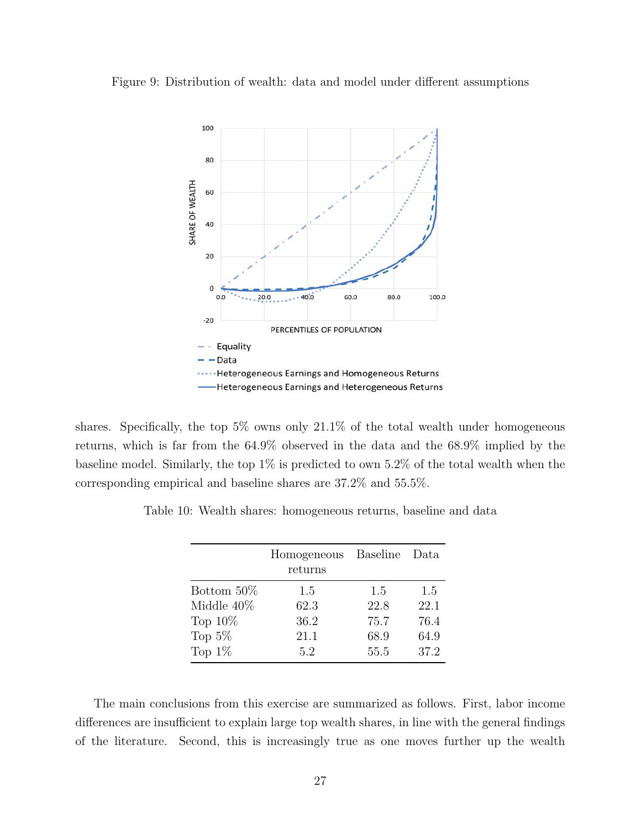#### <span id="page-27-0"></span>Figure 9: Distribution of wealth: data and model under different assumptions



shares. Specifically, the top 5% owns only 21.1% of the total wealth under homogeneous returns, which is far from the 64.9% observed in the data and the 68.9% implied by the baseline model. Similarly, the top 1% is predicted to own 5.2% of the total wealth when the corresponding empirical and baseline shares are 37.2% and 55.5%.

|               | Homogeneous<br>returns | Baseline | Data |
|---------------|------------------------|----------|------|
| Bottom 50\%   | 1.5                    | 1.5      | 1.5  |
| Middle $40\%$ | 62.3                   | 22.8     | 22.1 |
| Top $10\%$    | 36.2                   | 75.7     | 76.4 |
| Top $5\%$     | 21.1                   | 68.9     | 64.9 |
| Top $1\%$     | 5.2                    | 55.5     | 37.2 |

<span id="page-27-1"></span>Table 10: Wealth shares: homogeneous returns, baseline and data

The main conclusions from this exercise are summarized as follows. First, labor income differences are insufficient to explain large top wealth shares, in line with the general findings of the literature. Second, this is increasingly true as one moves further up the wealth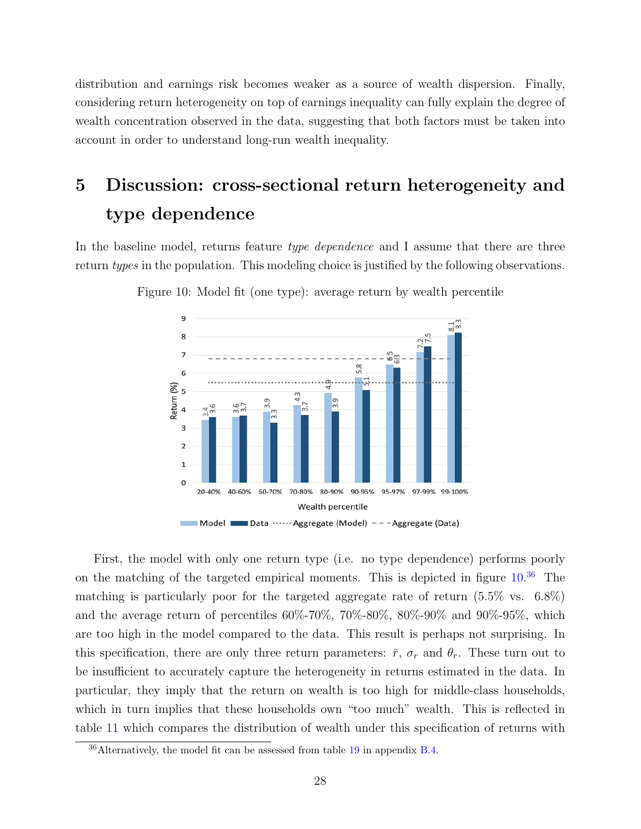distribution and earnings risk becomes weaker as a source of wealth dispersion. Finally, considering return heterogeneity on top of earnings inequality can fully explain the degree of wealth concentration observed in the data, suggesting that both factors must be taken into account in order to understand long-run wealth inequality.

# <span id="page-28-0"></span>5 Discussion: cross-sectional return heterogeneity and type dependence

<span id="page-28-1"></span>In the baseline model, returns feature type dependence and I assume that there are three return types in the population. This modeling choice is justified by the following observations.



Figure 10: Model fit (one type): average return by wealth percentile

First, the model with only one return type (i.e. no type dependence) performs poorly on the matching of the targeted empirical moments. This is depicted in figure  $10^{36}$  $10^{36}$  $10^{36}$  The matching is particularly poor for the targeted aggregate rate of return (5.5% vs. 6.8%) and the average return of percentiles 60%-70%, 70%-80%, 80%-90% and 90%-95%, which are too high in the model compared to the data. This result is perhaps not surprising. In this specification, there are only three return parameters:  $\bar{r}$ ,  $\sigma_r$  and  $\theta_r$ . These turn out to be insufficient to accurately capture the heterogeneity in returns estimated in the data. In particular, they imply that the return on wealth is too high for middle-class households, which in turn implies that these households own "too much" wealth. This is reflected in table [11](#page-29-0) which compares the distribution of wealth under this specification of returns with

<span id="page-28-2"></span><sup>36</sup>Alternatively, the model fit can be assessed from table [19](#page-44-0) in appendix [B.4.](#page-42-0)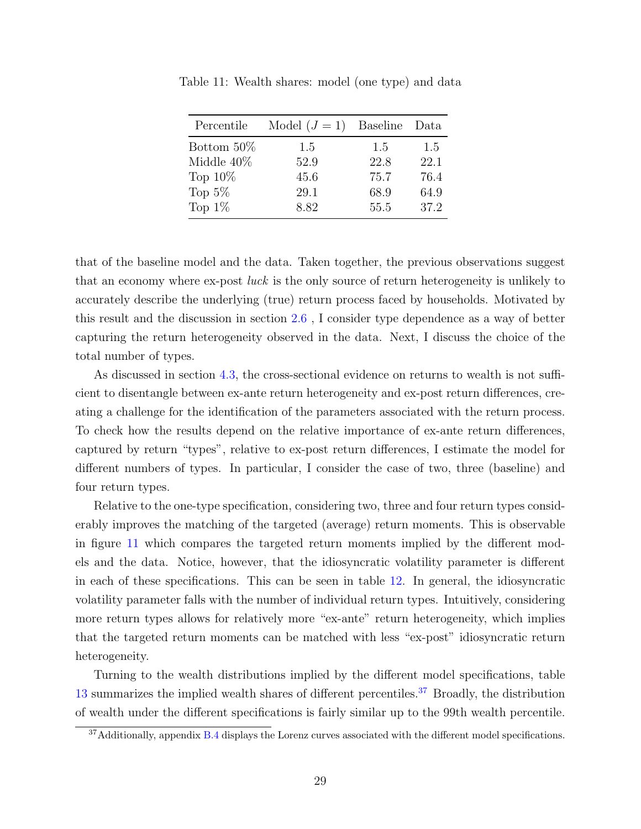| Percentile    | Model $(J = 1)$ Baseline |      | Data |
|---------------|--------------------------|------|------|
| Bottom 50\%   | 1.5                      | 1.5  | 1.5  |
| Middle $40\%$ | 52.9                     | 22.8 | 22.1 |
| Top $10\%$    | 45.6                     | 75.7 | 76.4 |
| Top $5\%$     | 29.1                     | 68.9 | 64.9 |
| Top $1\%$     | 8.82                     | 55.5 | 37.2 |

<span id="page-29-0"></span>Table 11: Wealth shares: model (one type) and data

that of the baseline model and the data. Taken together, the previous observations suggest that an economy where ex-post luck is the only source of return heterogeneity is unlikely to accurately describe the underlying (true) return process faced by households. Motivated by this result and the discussion in section [2.6](#page-14-1) , I consider type dependence as a way of better capturing the return heterogeneity observed in the data. Next, I discuss the choice of the total number of types.

As discussed in section [4.3,](#page-21-2) the cross-sectional evidence on returns to wealth is not sufficient to disentangle between ex-ante return heterogeneity and ex-post return differences, creating a challenge for the identification of the parameters associated with the return process. To check how the results depend on the relative importance of ex-ante return differences, captured by return "types", relative to ex-post return differences, I estimate the model for different numbers of types. In particular, I consider the case of two, three (baseline) and four return types.

Relative to the one-type specification, considering two, three and four return types considerably improves the matching of the targeted (average) return moments. This is observable in figure [11](#page-30-0) which compares the targeted return moments implied by the different models and the data. Notice, however, that the idiosyncratic volatility parameter is different in each of these specifications. This can be seen in table [12.](#page-30-1) In general, the idiosyncratic volatility parameter falls with the number of individual return types. Intuitively, considering more return types allows for relatively more "ex-ante" return heterogeneity, which implies that the targeted return moments can be matched with less "ex-post" idiosyncratic return heterogeneity.

Turning to the wealth distributions implied by the different model specifications, table [13](#page-30-2) summarizes the implied wealth shares of different percentiles.<sup>[37](#page-29-1)</sup> Broadly, the distribution of wealth under the different specifications is fairly similar up to the 99th wealth percentile.

<span id="page-29-1"></span> $37$ Additionally, appendix [B.4](#page-42-0) displays the Lorenz curves associated with the different model specifications.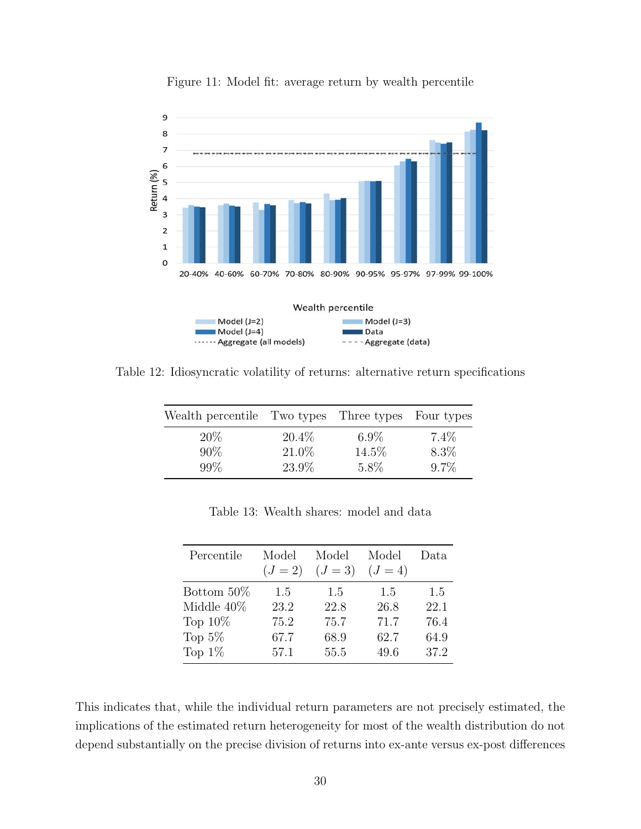<span id="page-30-0"></span>

Figure 11: Model fit: average return by wealth percentile

<span id="page-30-1"></span>Table 12: Idiosyncratic volatility of returns: alternative return specifications

| Wealth percentile Two types Three types Four types |                   |                  |                 |
|----------------------------------------------------|-------------------|------------------|-----------------|
| $20\%$<br>$90\%$                                   | $20.4\%$<br>21.0% | $6.9\%$<br>14.5% | $7.4\%$<br>8.3% |
| 99%                                                | 23.9%             | 5.8%             | $9.7\%$         |

Table 13: Wealth shares: model and data

<span id="page-30-2"></span>

| Percentile | Model     | Model     | Model     | Data. |
|------------|-----------|-----------|-----------|-------|
|            | $(J = 2)$ | $(J = 3)$ | $(J = 4)$ |       |
| Bottom 50% | 1.5       | 1.5       | 1.5       | 1.5   |
| Middle 40% | 23.2      | 22.8      | 26.8      | 22.1  |
| Top $10\%$ | 75.2      | 75.7      | 71.7      | 76.4  |
| Top $5\%$  | 67.7      | 68.9      | 62.7      | 64.9  |
| Top $1\%$  | 57.1      | 55.5      | 49.6      | 37.2  |

This indicates that, while the individual return parameters are not precisely estimated, the implications of the estimated return heterogeneity for most of the wealth distribution do not depend substantially on the precise division of returns into ex-ante versus ex-post differences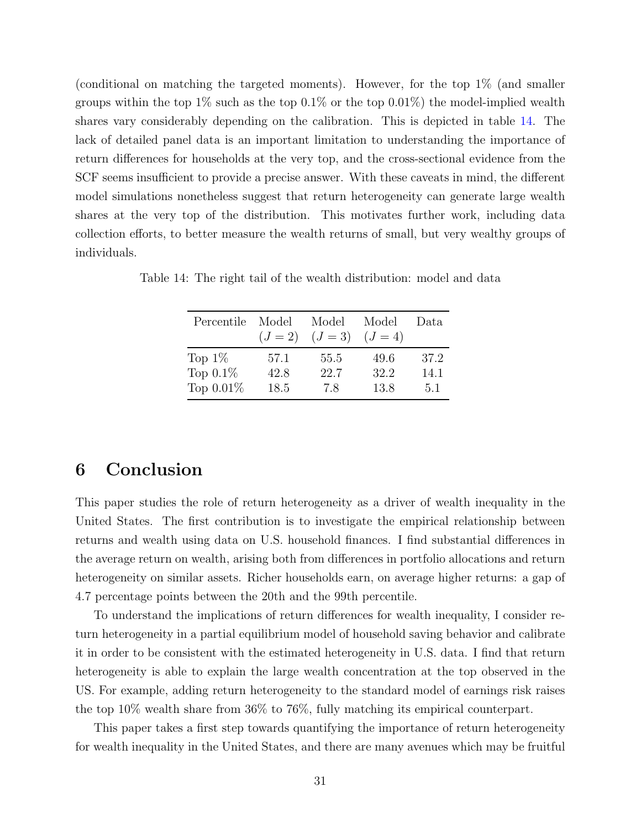(conditional on matching the targeted moments). However, for the top 1% (and smaller groups within the top  $1\%$  such as the top  $0.1\%$  or the top  $0.01\%$ ) the model-implied wealth shares vary considerably depending on the calibration. This is depicted in table [14.](#page-31-1) The lack of detailed panel data is an important limitation to understanding the importance of return differences for households at the very top, and the cross-sectional evidence from the SCF seems insufficient to provide a precise answer. With these caveats in mind, the different model simulations nonetheless suggest that return heterogeneity can generate large wealth shares at the very top of the distribution. This motivates further work, including data collection efforts, to better measure the wealth returns of small, but very wealthy groups of individuals.

| Percentile   | Model<br>$(J = 2)$ | Model<br>$(J = 3)$ | Model<br>$(J = 4)$ | Data. |
|--------------|--------------------|--------------------|--------------------|-------|
| Top $1\%$    | 57.1               | 55.5               | 49.6               | 37.2  |
| Top $0.1\%$  | 42.8               | 22.7               | 32.2               | 14.1  |
| Top $0.01\%$ | 18.5               | 7.8                | 13.8               | 5.1   |

<span id="page-31-1"></span>Table 14: The right tail of the wealth distribution: model and data

# <span id="page-31-0"></span>6 Conclusion

This paper studies the role of return heterogeneity as a driver of wealth inequality in the United States. The first contribution is to investigate the empirical relationship between returns and wealth using data on U.S. household finances. I find substantial differences in the average return on wealth, arising both from differences in portfolio allocations and return heterogeneity on similar assets. Richer households earn, on average higher returns: a gap of 4.7 percentage points between the 20th and the 99th percentile.

To understand the implications of return differences for wealth inequality, I consider return heterogeneity in a partial equilibrium model of household saving behavior and calibrate it in order to be consistent with the estimated heterogeneity in U.S. data. I find that return heterogeneity is able to explain the large wealth concentration at the top observed in the US. For example, adding return heterogeneity to the standard model of earnings risk raises the top 10% wealth share from 36% to 76%, fully matching its empirical counterpart.

This paper takes a first step towards quantifying the importance of return heterogeneity for wealth inequality in the United States, and there are many avenues which may be fruitful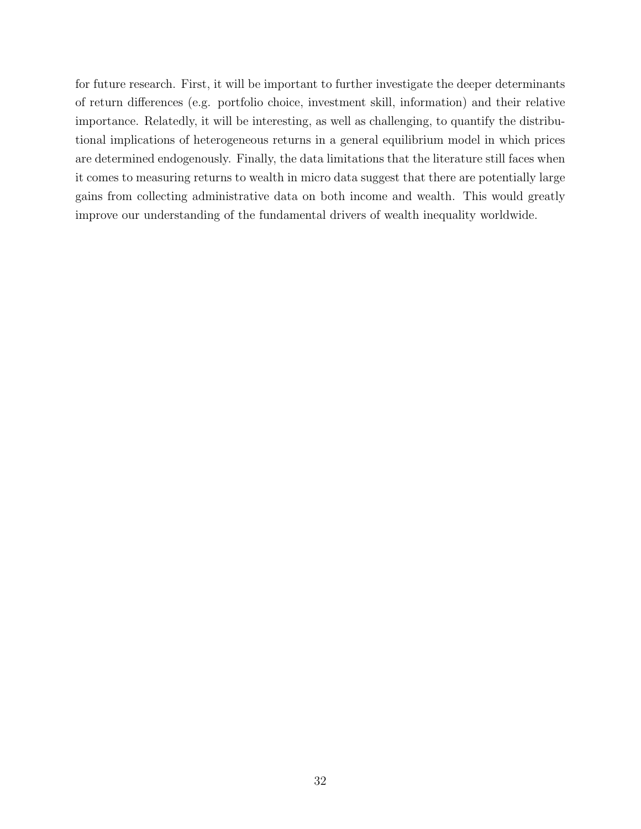for future research. First, it will be important to further investigate the deeper determinants of return differences (e.g. portfolio choice, investment skill, information) and their relative importance. Relatedly, it will be interesting, as well as challenging, to quantify the distributional implications of heterogeneous returns in a general equilibrium model in which prices are determined endogenously. Finally, the data limitations that the literature still faces when it comes to measuring returns to wealth in micro data suggest that there are potentially large gains from collecting administrative data on both income and wealth. This would greatly improve our understanding of the fundamental drivers of wealth inequality worldwide.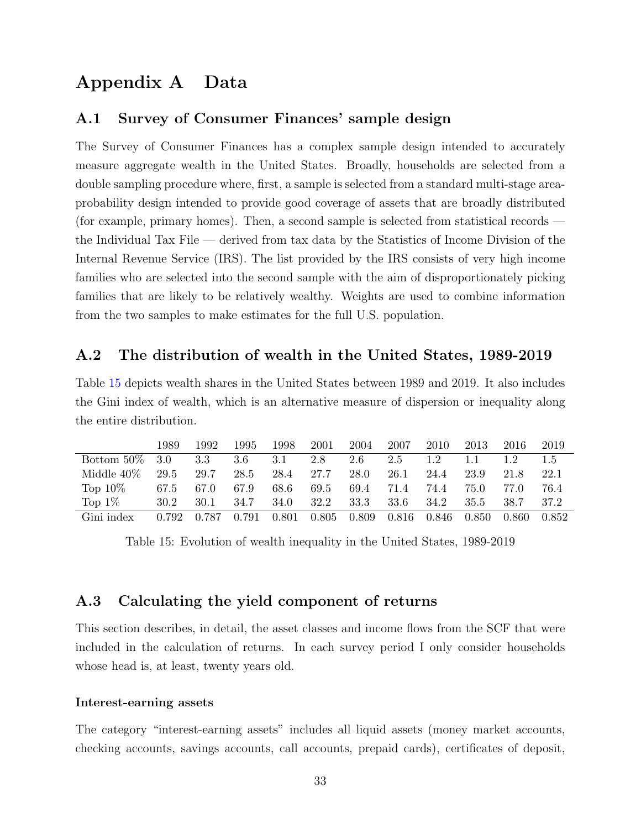# Appendix A Data

## <span id="page-33-0"></span>A.1 Survey of Consumer Finances' sample design

The Survey of Consumer Finances has a complex sample design intended to accurately measure aggregate wealth in the United States. Broadly, households are selected from a double sampling procedure where, first, a sample is selected from a standard multi-stage areaprobability design intended to provide good coverage of assets that are broadly distributed (for example, primary homes). Then, a second sample is selected from statistical records the Individual Tax File — derived from tax data by the Statistics of Income Division of the Internal Revenue Service (IRS). The list provided by the IRS consists of very high income families who are selected into the second sample with the aim of disproportionately picking families that are likely to be relatively wealthy. Weights are used to combine information from the two samples to make estimates for the full U.S. population.

## <span id="page-33-1"></span>A.2 The distribution of wealth in the United States, 1989-2019

Table [15](#page-33-2) depicts wealth shares in the United States between 1989 and 2019. It also includes the Gini index of wealth, which is an alternative measure of dispersion or inequality along the entire distribution.

<span id="page-33-2"></span>

|             | 1989  | 1992    | 1995  | 1998  | 2001  | 2004  | 2007  | 2010  | 2013         | 2016  | 2019  |
|-------------|-------|---------|-------|-------|-------|-------|-------|-------|--------------|-------|-------|
| Bottom 50\% | 3.0   | $3.3\,$ | 3.6   | 3.1   | 2.8   | 2.6   | 2.5   | 1.2   | $\mathbf{L}$ |       | 1.5   |
| Middle 40%  | 29.5  | 29.7    | 28.5  | 28.4  | 27.7  | 28.0  | 26.1  | 24.4  | 23.9         | 21.8  | 22.1  |
| Top $10\%$  | 67.5  | 67.0    | 67.9  | 68.6  | 69.5  | 69.4  | 71.4  | 74.4  | 75.0         | 77.0  | 76.4  |
| Top $1\%$   | 30.2  | 30.1    | 34.7  | 34.0  | 32.2  | 33.3  | 33.6  | 34.2  | 35.5         | 38.7  | 37.2  |
| Gini index  | 0.792 | 0.787   | 0.791 | 0.801 | 0.805 | 0.809 | 0.816 | 0.846 | $0.850\,$    | 0.860 | 0.852 |

Table 15: Evolution of wealth inequality in the United States, 1989-2019

## A.3 Calculating the yield component of returns

This section describes, in detail, the asset classes and income flows from the SCF that were included in the calculation of returns. In each survey period I only consider households whose head is, at least, twenty years old.

#### Interest-earning assets

The category "interest-earning assets" includes all liquid assets (money market accounts, checking accounts, savings accounts, call accounts, prepaid cards), certificates of deposit,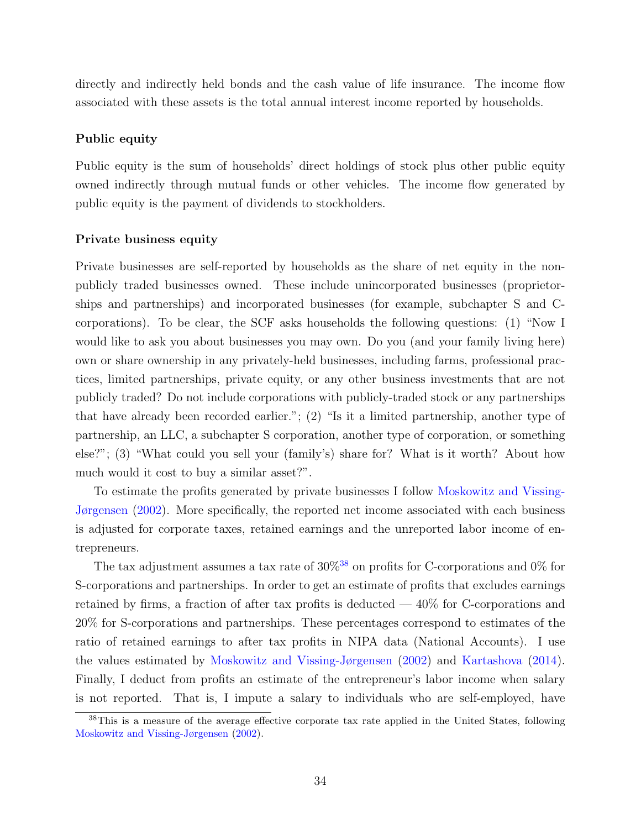directly and indirectly held bonds and the cash value of life insurance. The income flow associated with these assets is the total annual interest income reported by households.

#### Public equity

Public equity is the sum of households' direct holdings of stock plus other public equity owned indirectly through mutual funds or other vehicles. The income flow generated by public equity is the payment of dividends to stockholders.

#### Private business equity

Private businesses are self-reported by households as the share of net equity in the nonpublicly traded businesses owned. These include unincorporated businesses (proprietorships and partnerships) and incorporated businesses (for example, subchapter S and Ccorporations). To be clear, the SCF asks households the following questions: (1) "Now I would like to ask you about businesses you may own. Do you (and your family living here) own or share ownership in any privately-held businesses, including farms, professional practices, limited partnerships, private equity, or any other business investments that are not publicly traded? Do not include corporations with publicly-traded stock or any partnerships that have already been recorded earlier."; (2) "Is it a limited partnership, another type of partnership, an LLC, a subchapter S corporation, another type of corporation, or something else?"; (3) "What could you sell your (family's) share for? What is it worth? About how much would it cost to buy a similar asset?".

To estimate the profits generated by private businesses I follow [Moskowitz and Vissing-](#page-46-1)[Jørgensen](#page-46-1) [\(2002\)](#page-46-1). More specifically, the reported net income associated with each business is adjusted for corporate taxes, retained earnings and the unreported labor income of entrepreneurs.

The tax adjustment assumes a tax rate of  $30\%$ <sup>[38](#page-34-0)</sup> on profits for C-corporations and 0% for S-corporations and partnerships. In order to get an estimate of profits that excludes earnings retained by firms, a fraction of after tax profits is deducted  $-40\%$  for C-corporations and 20% for S-corporations and partnerships. These percentages correspond to estimates of the ratio of retained earnings to after tax profits in NIPA data (National Accounts). I use the values estimated by [Moskowitz and Vissing-Jørgensen](#page-46-1) [\(2002\)](#page-46-1) and [Kartashova](#page-45-7) [\(2014\)](#page-45-7). Finally, I deduct from profits an estimate of the entrepreneur's labor income when salary is not reported. That is, I impute a salary to individuals who are self-employed, have

<span id="page-34-0"></span><sup>38</sup>This is a measure of the average effective corporate tax rate applied in the United States, following [Moskowitz and Vissing-Jørgensen](#page-46-1) [\(2002\)](#page-46-1).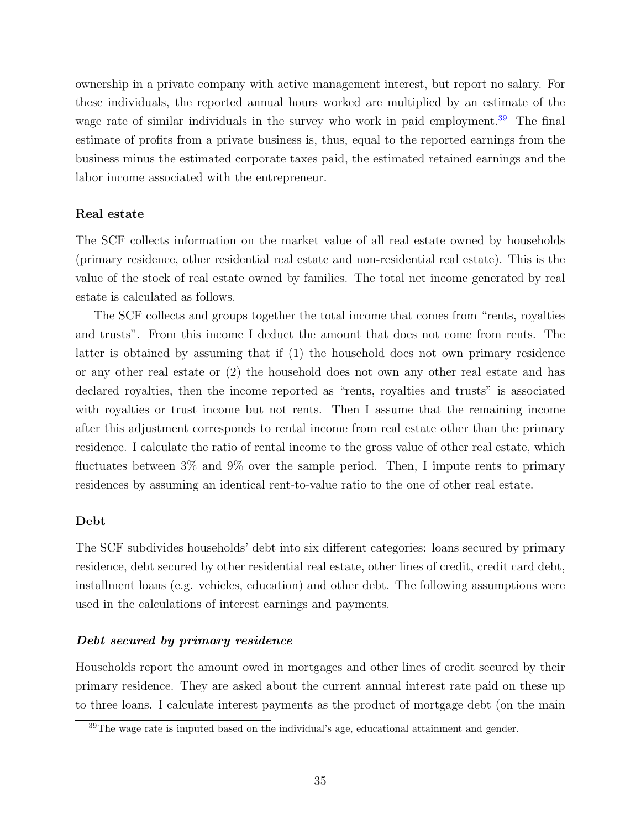ownership in a private company with active management interest, but report no salary. For these individuals, the reported annual hours worked are multiplied by an estimate of the wage rate of similar individuals in the survey who work in paid employment.<sup>[39](#page-35-0)</sup> The final estimate of profits from a private business is, thus, equal to the reported earnings from the business minus the estimated corporate taxes paid, the estimated retained earnings and the labor income associated with the entrepreneur.

#### Real estate

The SCF collects information on the market value of all real estate owned by households (primary residence, other residential real estate and non-residential real estate). This is the value of the stock of real estate owned by families. The total net income generated by real estate is calculated as follows.

The SCF collects and groups together the total income that comes from "rents, royalties and trusts". From this income I deduct the amount that does not come from rents. The latter is obtained by assuming that if (1) the household does not own primary residence or any other real estate or (2) the household does not own any other real estate and has declared royalties, then the income reported as "rents, royalties and trusts" is associated with royalties or trust income but not rents. Then I assume that the remaining income after this adjustment corresponds to rental income from real estate other than the primary residence. I calculate the ratio of rental income to the gross value of other real estate, which fluctuates between 3% and 9% over the sample period. Then, I impute rents to primary residences by assuming an identical rent-to-value ratio to the one of other real estate.

#### Debt

The SCF subdivides households' debt into six different categories: loans secured by primary residence, debt secured by other residential real estate, other lines of credit, credit card debt, installment loans (e.g. vehicles, education) and other debt. The following assumptions were used in the calculations of interest earnings and payments.

#### Debt secured by primary residence

Households report the amount owed in mortgages and other lines of credit secured by their primary residence. They are asked about the current annual interest rate paid on these up to three loans. I calculate interest payments as the product of mortgage debt (on the main

<span id="page-35-0"></span><sup>&</sup>lt;sup>39</sup>The wage rate is imputed based on the individual's age, educational attainment and gender.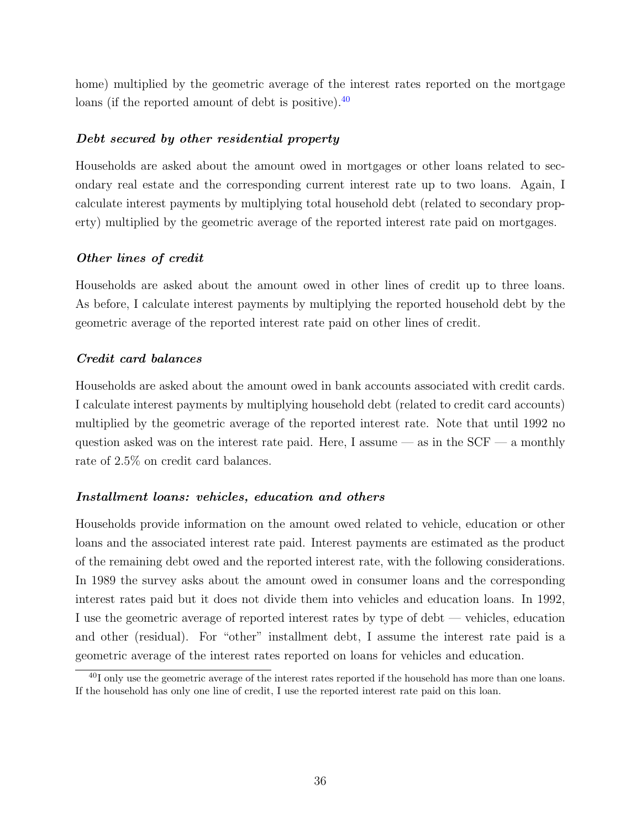home) multiplied by the geometric average of the interest rates reported on the mortgage loans (if the reported amount of debt is positive).<sup>[40](#page-36-0)</sup>

## Debt secured by other residential property

Households are asked about the amount owed in mortgages or other loans related to secondary real estate and the corresponding current interest rate up to two loans. Again, I calculate interest payments by multiplying total household debt (related to secondary property) multiplied by the geometric average of the reported interest rate paid on mortgages.

### Other lines of credit

Households are asked about the amount owed in other lines of credit up to three loans. As before, I calculate interest payments by multiplying the reported household debt by the geometric average of the reported interest rate paid on other lines of credit.

#### Credit card balances

Households are asked about the amount owed in bank accounts associated with credit cards. I calculate interest payments by multiplying household debt (related to credit card accounts) multiplied by the geometric average of the reported interest rate. Note that until 1992 no question asked was on the interest rate paid. Here, I assume — as in the  $SCF$  — a monthly rate of 2.5% on credit card balances.

## Installment loans: vehicles, education and others

Households provide information on the amount owed related to vehicle, education or other loans and the associated interest rate paid. Interest payments are estimated as the product of the remaining debt owed and the reported interest rate, with the following considerations. In 1989 the survey asks about the amount owed in consumer loans and the corresponding interest rates paid but it does not divide them into vehicles and education loans. In 1992, I use the geometric average of reported interest rates by type of debt — vehicles, education and other (residual). For "other" installment debt, I assume the interest rate paid is a geometric average of the interest rates reported on loans for vehicles and education.

<span id="page-36-0"></span> $^{40}$ I only use the geometric average of the interest rates reported if the household has more than one loans. If the household has only one line of credit, I use the reported interest rate paid on this loan.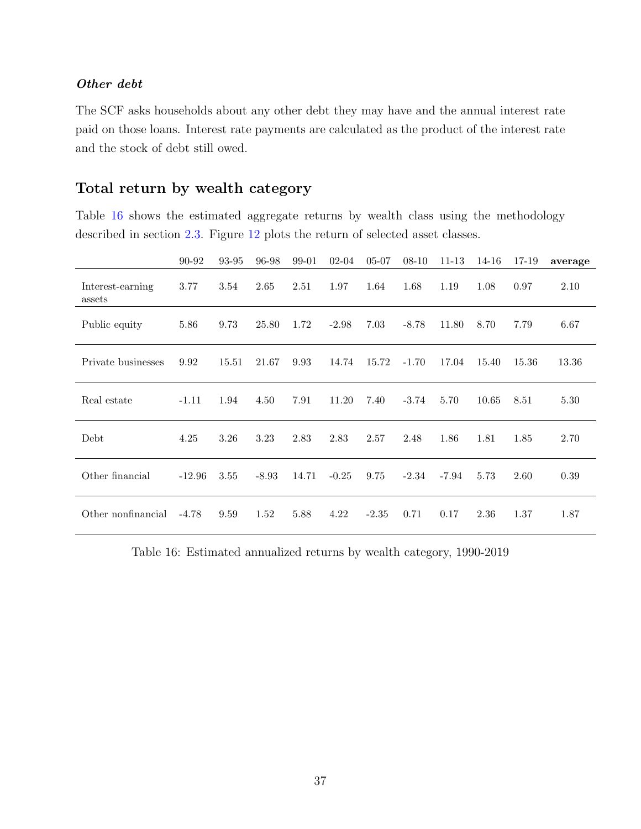## Other debt

The SCF asks households about any other debt they may have and the annual interest rate paid on those loans. Interest rate payments are calculated as the product of the interest rate and the stock of debt still owed.

## <span id="page-37-0"></span>Total return by wealth category

Table [16](#page-37-1) shows the estimated aggregate returns by wealth class using the methodology described in section [2.3.](#page-7-2) Figure [12](#page-38-0) plots the return of selected asset classes.

<span id="page-37-1"></span>

|                            | 90-92    | 93-95 | 96-98   | 99-01 | $02 - 04$ | $05 - 07$ | $08 - 10$ | $11 - 13$ | 14-16 | 17-19 | average |
|----------------------------|----------|-------|---------|-------|-----------|-----------|-----------|-----------|-------|-------|---------|
| Interest-earning<br>assets | 3.77     | 3.54  | 2.65    | 2.51  | 1.97      | 1.64      | 1.68      | 1.19      | 1.08  | 0.97  | 2.10    |
| Public equity              | 5.86     | 9.73  | 25.80   | 1.72  | $-2.98$   | 7.03      | $-8.78$   | 11.80     | 8.70  | 7.79  | 6.67    |
| Private businesses         | 9.92     | 15.51 | 21.67   | 9.93  | 14.74     | 15.72     | $-1.70$   | 17.04     | 15.40 | 15.36 | 13.36   |
| Real estate                | $-1.11$  | 1.94  | 4.50    | 7.91  | 11.20     | 7.40      | $-3.74$   | 5.70      | 10.65 | 8.51  | 5.30    |
| Debt                       | 4.25     | 3.26  | 3.23    | 2.83  | 2.83      | 2.57      | 2.48      | 1.86      | 1.81  | 1.85  | 2.70    |
| Other financial            | $-12.96$ | 3.55  | $-8.93$ | 14.71 | $-0.25$   | 9.75      | $-2.34$   | -7.94     | 5.73  | 2.60  | 0.39    |
| Other nonfinancial         | $-4.78$  | 9.59  | 1.52    | 5.88  | 4.22      | $-2.35$   | 0.71      | 0.17      | 2.36  | 1.37  | 1.87    |

Table 16: Estimated annualized returns by wealth category, 1990-2019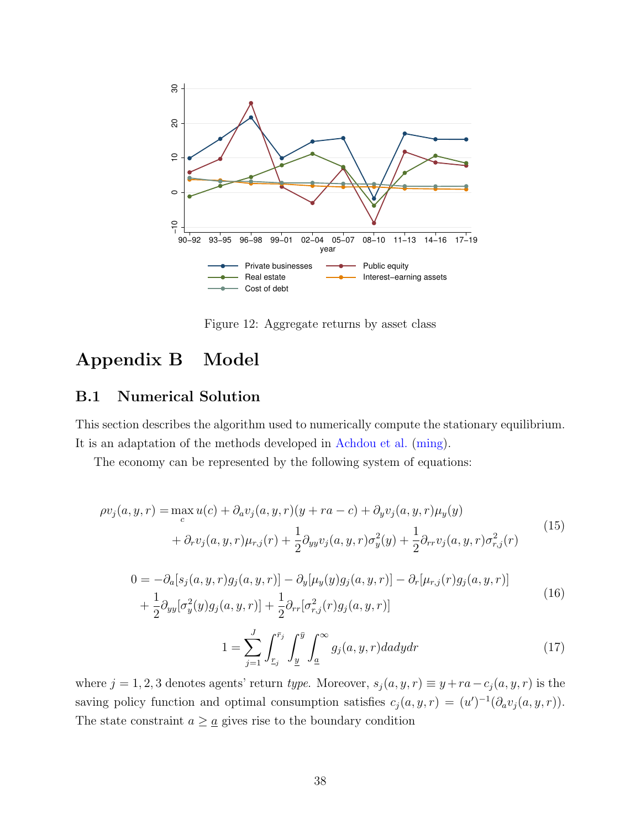<span id="page-38-0"></span>

Figure 12: Aggregate returns by asset class

# Appendix B Model

## <span id="page-38-1"></span>B.1 Numerical Solution

This section describes the algorithm used to numerically compute the stationary equilibrium. It is an adaptation of the methods developed in [Achdou et al.](#page-45-17) [\(ming\)](#page-45-17).

The economy can be represented by the following system of equations:

<span id="page-38-2"></span>
$$
\rho v_j(a, y, r) = \max_c u(c) + \partial_a v_j(a, y, r)(y + ra - c) + \partial_y v_j(a, y, r)\mu_y(y)
$$
  
+ 
$$
\partial_r v_j(a, y, r)\mu_{r,j}(r) + \frac{1}{2}\partial_{yy}v_j(a, y, r)\sigma_y^2(y) + \frac{1}{2}\partial_{rr}v_j(a, y, r)\sigma_{r,j}^2(r)
$$
(15)

<span id="page-38-3"></span>
$$
0 = -\partial_a[s_j(a, y, r)g_j(a, y, r)] - \partial_y[\mu_y(y)g_j(a, y, r)] - \partial_r[\mu_{r,j}(r)g_j(a, y, r)] + \frac{1}{2}\partial_{yy}[\sigma_y^2(y)g_j(a, y, r)] + \frac{1}{2}\partial_{rr}[\sigma_{r,j}^2(r)g_j(a, y, r)]
$$
\n(16)

<span id="page-38-4"></span>
$$
1 = \sum_{j=1}^{J} \int_{\underline{r}_j}^{\bar{r}_j} \int_{\underline{y}}^{\bar{y}} \int_{\underline{a}}^{\infty} g_j(a, y, r) da dy dr \tag{17}
$$

where  $j = 1, 2, 3$  denotes agents' return type. Moreover,  $s_j(a, y, r) \equiv y + ra - c_j(a, y, r)$  is the saving policy function and optimal consumption satisfies  $c_j(a, y, r) = (u')^{-1}(\partial_a v_j(a, y, r)).$ The state constraint  $a \geq \underline{a}$  gives rise to the boundary condition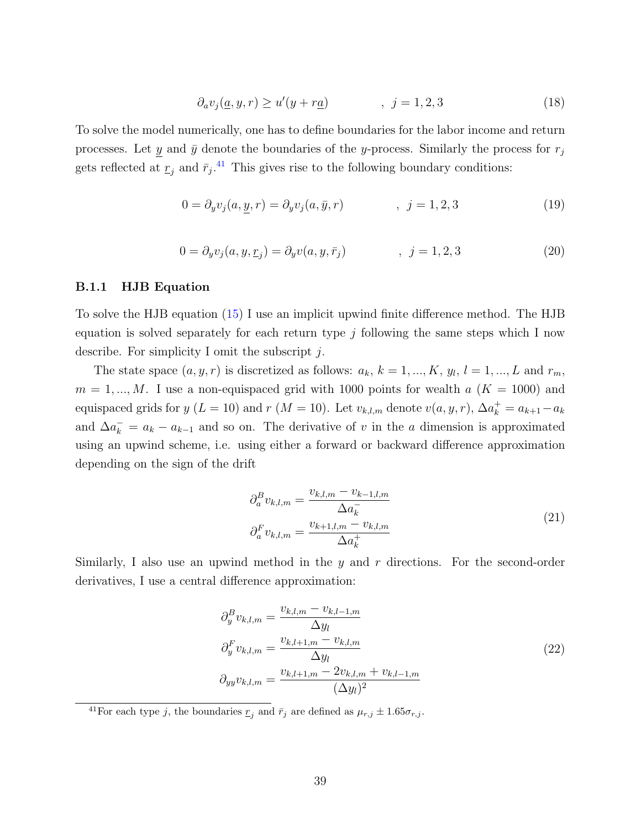$$
\partial_a v_j(\underline{a}, y, r) \ge u'(y + r\underline{a}) \qquad , \quad j = 1, 2, 3 \tag{18}
$$

To solve the model numerically, one has to define boundaries for the labor income and return processes. Let y and  $\bar{y}$  denote the boundaries of the y-process. Similarly the process for  $r_j$ gets reflected at  $\underline{r}_j$  and  $\overline{r}_j$ .<sup>[41](#page-39-0)</sup> This gives rise to the following boundary conditions:

$$
0 = \partial_y v_j(a, \underline{y}, r) = \partial_y v_j(a, \bar{y}, r) \qquad , j = 1, 2, 3 \qquad (19)
$$

$$
0 = \partial_y v_j(a, y, \underline{r}_j) = \partial_y v(a, y, \bar{r}_j) \qquad , \quad j = 1, 2, 3 \tag{20}
$$

#### B.1.1 HJB Equation

To solve the HJB equation [\(15\)](#page-38-2) I use an implicit upwind finite difference method. The HJB equation is solved separately for each return type  $j$  following the same steps which I now describe. For simplicity I omit the subscript j.

The state space  $(a, y, r)$  is discretized as follows:  $a_k, k = 1, ..., K, y_l, l = 1, ..., L$  and  $r_m$ ,  $m = 1, ..., M$ . I use a non-equispaced grid with 1000 points for wealth  $a$  ( $K = 1000$ ) and equispaced grids for  $y(L = 10)$  and  $r(M = 10)$ . Let  $v_{k,l,m}$  denote  $v(a, y, r)$ ,  $\Delta a_k^+ = a_{k+1} - a_k$ and  $\Delta a_k^- = a_k - a_{k-1}$  and so on. The derivative of v in the a dimension is approximated using an upwind scheme, i.e. using either a forward or backward difference approximation depending on the sign of the drift

<span id="page-39-1"></span>
$$
\partial_a^B v_{k,l,m} = \frac{v_{k,l,m} - v_{k-1,l,m}}{\Delta a_k^-}
$$
\n
$$
\partial_a^F v_{k,l,m} = \frac{v_{k+1,l,m} - v_{k,l,m}}{\Delta a_k^+}
$$
\n(21)

Similarly, I also use an upwind method in the  $y$  and  $r$  directions. For the second-order derivatives, I use a central difference approximation:

<span id="page-39-2"></span>
$$
\partial_y^B v_{k,l,m} = \frac{v_{k,l,m} - v_{k,l-1,m}}{\Delta y_l}
$$
  
\n
$$
\partial_y^F v_{k,l,m} = \frac{v_{k,l+1,m} - v_{k,l,m}}{\Delta y_l}
$$
  
\n
$$
\partial_{yy} v_{k,l,m} = \frac{v_{k,l+1,m} - 2v_{k,l,m} + v_{k,l-1,m}}{(\Delta y_l)^2}
$$
\n(22)

<span id="page-39-0"></span><sup>41</sup>For each type j, the boundaries  $\underline{r}_j$  and  $\overline{r}_j$  are defined as  $\mu_{r,j} \pm 1.65\sigma_{r,j}$ .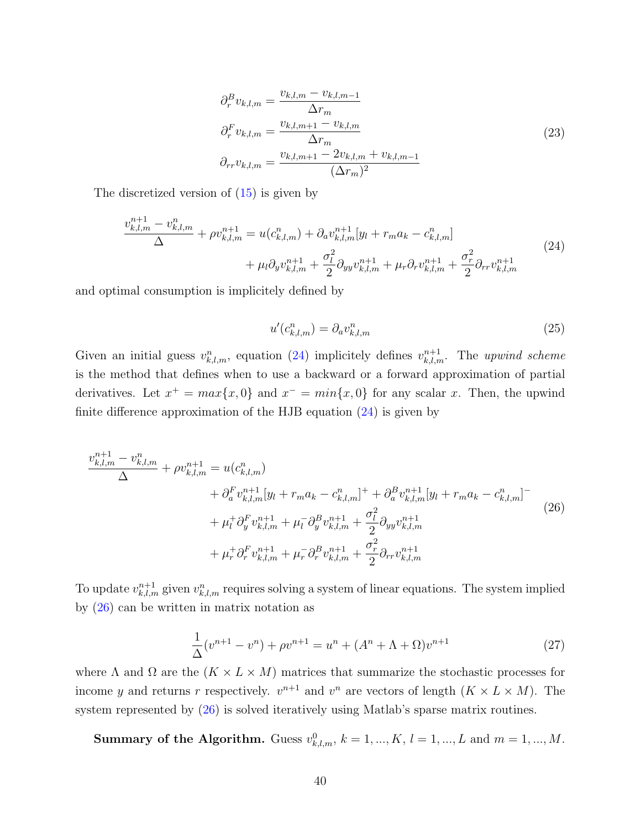<span id="page-40-3"></span>
$$
\partial_r^B v_{k,l,m} = \frac{v_{k,l,m} - v_{k,l,m-1}}{\Delta r_m}
$$
  
\n
$$
\partial_r^F v_{k,l,m} = \frac{v_{k,l,m+1} - v_{k,l,m}}{\Delta r_m}
$$
  
\n
$$
\partial_{rr} v_{k,l,m} = \frac{v_{k,l,m+1} - 2v_{k,l,m} + v_{k,l,m-1}}{(\Delta r_m)^2}
$$
\n(23)

The discretized version of [\(15\)](#page-38-2) is given by

<span id="page-40-0"></span>
$$
\frac{v_{k,l,m}^{n+1} - v_{k,l,m}^n}{\Delta} + \rho v_{k,l,m}^{n+1} = u(c_{k,l,m}^n) + \partial_a v_{k,l,m}^{n+1} [y_l + r_m a_k - c_{k,l,m}^n] + \mu_l \partial_y v_{k,l,m}^{n+1} + \frac{\sigma_l^2}{2} \partial_{yy} v_{k,l,m}^{n+1} + \mu_r \partial_r v_{k,l,m}^{n+1} + \frac{\sigma_r^2}{2} \partial_{rr} v_{k,l,m}^{n+1}
$$
(24)

and optimal consumption is implicitely defined by

<span id="page-40-2"></span>
$$
u'(c_{k,l,m}^n) = \partial_a v_{k,l,m}^n \tag{25}
$$

Given an initial guess  $v_{k,l,m}^n$ , equation [\(24\)](#page-40-0) implicitely defines  $v_{k,l,m}^{n+1}$ . The upwind scheme is the method that defines when to use a backward or a forward approximation of partial derivatives. Let  $x^+ = max\{x, 0\}$  and  $x^- = min\{x, 0\}$  for any scalar x. Then, the upwind finite difference approximation of the HJB equation [\(24\)](#page-40-0) is given by

<span id="page-40-1"></span>
$$
\frac{v_{k,l,m}^{n+1} - v_{k,l,m}^{n}}{\Delta} + \rho v_{k,l,m}^{n+1} = u(c_{k,l,m}^{n}) \n+ \partial_{a}^{F} v_{k,l,m}^{n+1} [y_{l} + r_{m} a_{k} - c_{k,l,m}^{n}]^{+} + \partial_{a}^{B} v_{k,l,m}^{n+1} [y_{l} + r_{m} a_{k} - c_{k,l,m}^{n}]^{-} \n+ \mu_{l}^{+} \partial_{y}^{F} v_{k,l,m}^{n+1} + \mu_{l}^{-} \partial_{y}^{B} v_{k,l,m}^{n+1} + \frac{\sigma_{l}^{2}}{2} \partial_{yy} v_{k,l,m}^{n+1} \n+ \mu_{r}^{+} \partial_{r}^{F} v_{k,l,m}^{n+1} + \mu_{r}^{-} \partial_{r}^{B} v_{k,l,m}^{n+1} + \frac{\sigma_{r}^{2}}{2} \partial_{rr} v_{k,l,m}^{n+1}
$$
\n(26)

To update  $v_{k,l,m}^{n+1}$  given  $v_{k,l,m}^n$  requires solving a system of linear equations. The system implied by [\(26\)](#page-40-1) can be written in matrix notation as

$$
\frac{1}{\Delta}(v^{n+1} - v^n) + \rho v^{n+1} = u^n + (A^n + \Lambda + \Omega)v^{n+1}
$$
\n(27)

where  $\Lambda$  and  $\Omega$  are the  $(K \times L \times M)$  matrices that summarize the stochastic processes for income y and returns r respectively.  $v^{n+1}$  and  $v^n$  are vectors of length  $(K \times L \times M)$ . The system represented by [\(26\)](#page-40-1) is solved iteratively using Matlab's sparse matrix routines.

**Summary of the Algorithm.** Guess  $v_{k,l,m}^0$ ,  $k = 1, ..., K$ ,  $l = 1, ..., L$  and  $m = 1, ..., M$ .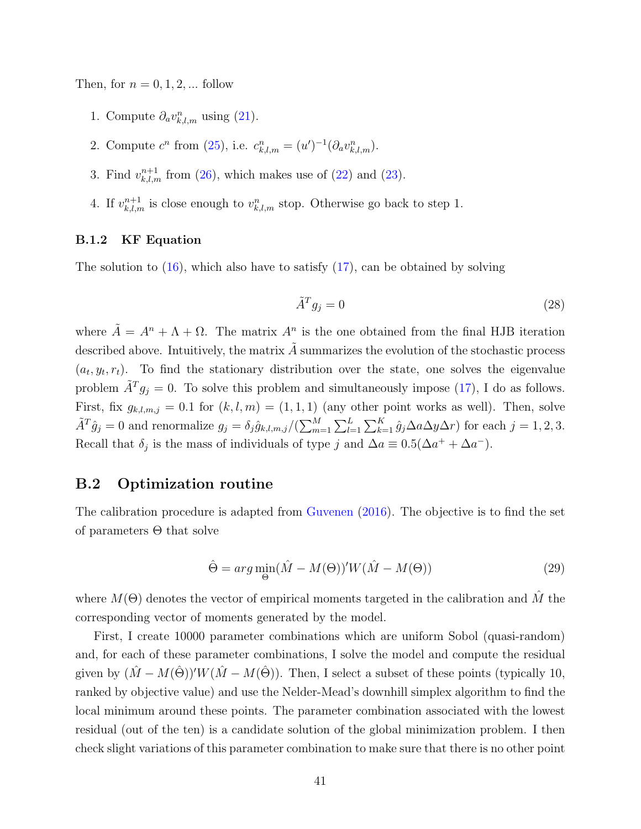Then, for  $n = 0, 1, 2, \dots$  follow

- 1. Compute  $\partial_a v_{k,l,m}^n$  using [\(21\)](#page-39-1).
- 2. Compute  $c^n$  from [\(25\)](#page-40-2), i.e.  $c_{k,l,m}^n = (u')^{-1} (\partial_a v_{k,l,m}^n)$ .
- 3. Find  $v_{k,l,m}^{n+1}$  from [\(26\)](#page-40-1), which makes use of [\(22\)](#page-39-2) and [\(23\)](#page-40-3).
- 4. If  $v^{n+1}_{k,l,m}$  is close enough to  $v^n_{k,l,m}$  stop. Otherwise go back to step 1.

#### B.1.2 KF Equation

The solution to  $(16)$ , which also have to satisfy  $(17)$ , can be obtained by solving

$$
\tilde{A}^T g_j = 0 \tag{28}
$$

where  $\tilde{A} = A^n + \Lambda + \Omega$ . The matrix  $A^n$  is the one obtained from the final HJB iteration described above. Intuitively, the matrix  $\tilde{A}$  summarizes the evolution of the stochastic process  $(a_t, y_t, r_t)$ . To find the stationary distribution over the state, one solves the eigenvalue problem  $\tilde{A}^T g_j = 0$ . To solve this problem and simultaneously impose [\(17\)](#page-38-4), I do as follows. First, fix  $g_{k,l,m,j} = 0.1$  for  $(k, l, m) = (1, 1, 1)$  (any other point works as well). Then, solve  $\tilde{A}^T \hat{g}_j = 0$  and renormalize  $g_j = \delta_j \hat{g}_{k,l,m,j}/(\sum_{m=1}^M \sum_{l=1}^L \sum_{k=1}^K \hat{g}_j \Delta a \Delta y \Delta r)$  for each  $j = 1, 2, 3$ . Recall that  $\delta_j$  is the mass of individuals of type j and  $\Delta a \equiv 0.5(\Delta a^+ + \Delta a^-)$ .

## <span id="page-41-0"></span>B.2 Optimization routine

The calibration procedure is adapted from [Guvenen](#page-45-19) [\(2016\)](#page-45-19). The objective is to find the set of parameters Θ that solve

$$
\hat{\Theta} = arg \min_{\Theta} (\hat{M} - M(\Theta))' W (\hat{M} - M(\Theta))
$$
\n(29)

where  $M(\Theta)$  denotes the vector of empirical moments targeted in the calibration and  $\hat{M}$  the corresponding vector of moments generated by the model.

First, I create 10000 parameter combinations which are uniform Sobol (quasi-random) and, for each of these parameter combinations, I solve the model and compute the residual given by  $(\hat{M} - M(\hat{\Theta}))' W (\hat{M} - M(\hat{\Theta}))$ . Then, I select a subset of these points (typically 10, ranked by objective value) and use the Nelder-Mead's downhill simplex algorithm to find the local minimum around these points. The parameter combination associated with the lowest residual (out of the ten) is a candidate solution of the global minimization problem. I then check slight variations of this parameter combination to make sure that there is no other point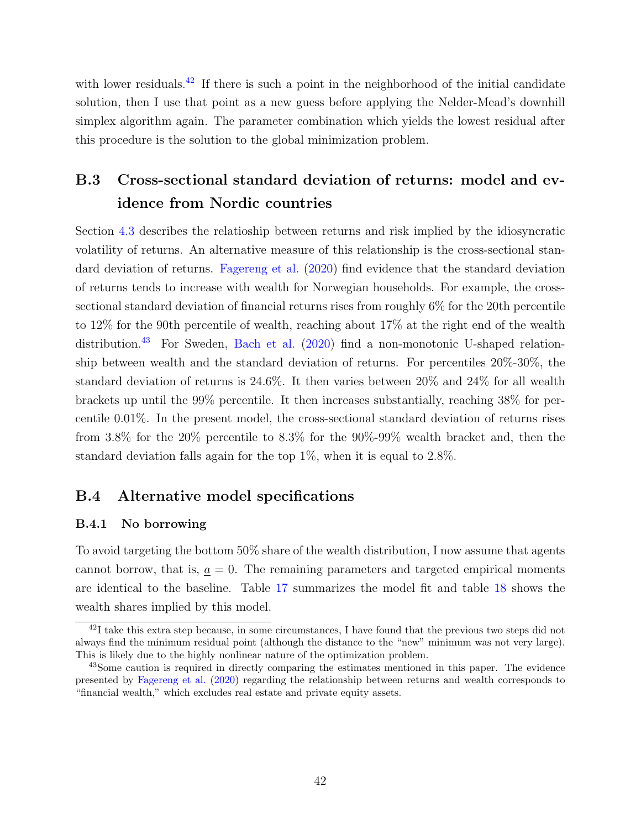with lower residuals.<sup>[42](#page-42-1)</sup> If there is such a point in the neighborhood of the initial candidate solution, then I use that point as a new guess before applying the Nelder-Mead's downhill simplex algorithm again. The parameter combination which yields the lowest residual after this procedure is the solution to the global minimization problem.

# B.3 Cross-sectional standard deviation of returns: model and evidence from Nordic countries

Section [4.3](#page-21-2) describes the relatioship between returns and risk implied by the idiosyncratic volatility of returns. An alternative measure of this relationship is the cross-sectional standard deviation of returns. [Fagereng et al.](#page-45-3) [\(2020\)](#page-45-3) find evidence that the standard deviation of returns tends to increase with wealth for Norwegian households. For example, the crosssectional standard deviation of financial returns rises from roughly 6% for the 20th percentile to 12% for the 90th percentile of wealth, reaching about 17% at the right end of the wealth distribution.<sup>[43](#page-42-2)</sup> For Sweden, [Bach et al.](#page-45-2) [\(2020\)](#page-45-2) find a non-monotonic U-shaped relationship between wealth and the standard deviation of returns. For percentiles 20%-30%, the standard deviation of returns is 24.6%. It then varies between 20% and 24% for all wealth brackets up until the 99% percentile. It then increases substantially, reaching 38% for percentile 0.01%. In the present model, the cross-sectional standard deviation of returns rises from 3.8% for the 20% percentile to 8.3% for the 90%-99% wealth bracket and, then the standard deviation falls again for the top  $1\%$ , when it is equal to  $2.8\%$ .

## <span id="page-42-0"></span>B.4 Alternative model specifications

#### B.4.1 No borrowing

To avoid targeting the bottom 50% share of the wealth distribution, I now assume that agents cannot borrow, that is,  $a = 0$ . The remaining parameters and targeted empirical moments are identical to the baseline. Table [17](#page-43-0) summarizes the model fit and table [18](#page-43-1) shows the wealth shares implied by this model.

<span id="page-42-1"></span><sup>&</sup>lt;sup>42</sup>I take this extra step because, in some circumstances, I have found that the previous two steps did not always find the minimum residual point (although the distance to the "new" minimum was not very large). This is likely due to the highly nonlinear nature of the optimization problem.

<span id="page-42-2"></span><sup>&</sup>lt;sup>43</sup>Some caution is required in directly comparing the estimates mentioned in this paper. The evidence presented by [Fagereng et al.](#page-45-3) [\(2020\)](#page-45-3) regarding the relationship between returns and wealth corresponds to "financial wealth," which excludes real estate and private equity assets.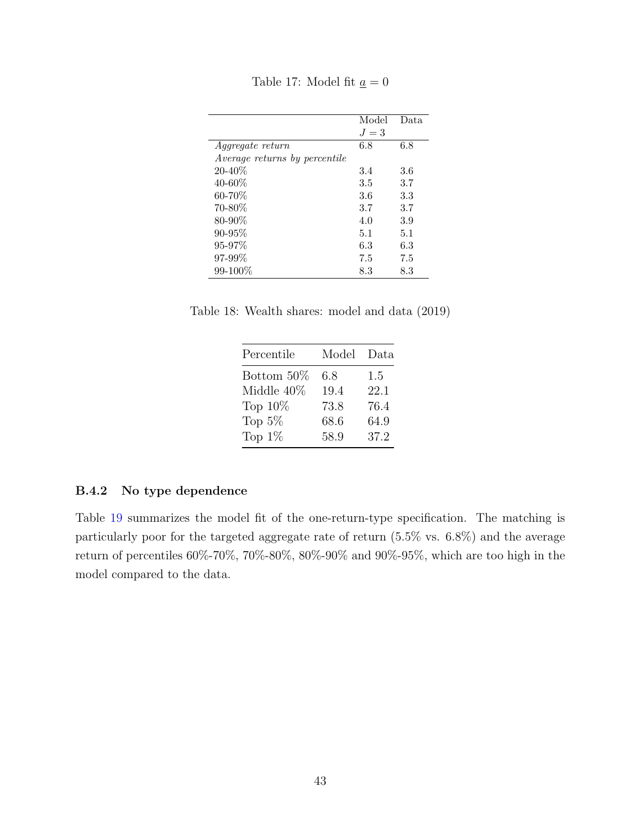Table 17: Model fit  $\underline{a} = 0$ 

<span id="page-43-0"></span>

|                               | Model | Data. |
|-------------------------------|-------|-------|
|                               | $J=3$ |       |
| <i>Aggregate return</i>       | 6.8   | 6.8   |
| Average returns by percentile |       |       |
| $20 - 40\%$                   | 3.4   | 3.6   |
| $40 - 60\%$                   | 3.5   | 3.7   |
| 60-70%                        | 3.6   | 3.3   |
| 70-80%                        | 3.7   | 3.7   |
| 80-90%                        | 4.0   | 3.9   |
| $90 - 95%$                    | 5.1   | 5.1   |
| $95 - 97\%$                   | 6.3   | 6.3   |
| $97 - 99\%$                   | 7.5   | 7.5   |
| $99 - 100\%$                  | 8.3   | 8.3   |

<span id="page-43-1"></span>Table 18: Wealth shares: model and data (2019)

| Percentile | Model | Data |
|------------|-------|------|
| Bottom 50% | 6.8   | 1.5  |
| Middle 40% | 19.4  | 22.1 |
| Top $10\%$ | 73.8  | 76.4 |
| Top $5\%$  | 68.6  | 64.9 |
| Top $1\%$  | 58.9  | 37.2 |

#### B.4.2 No type dependence

Table [19](#page-44-0) summarizes the model fit of the one-return-type specification. The matching is particularly poor for the targeted aggregate rate of return (5.5% vs. 6.8%) and the average return of percentiles 60%-70%, 70%-80%, 80%-90% and 90%-95%, which are too high in the model compared to the data.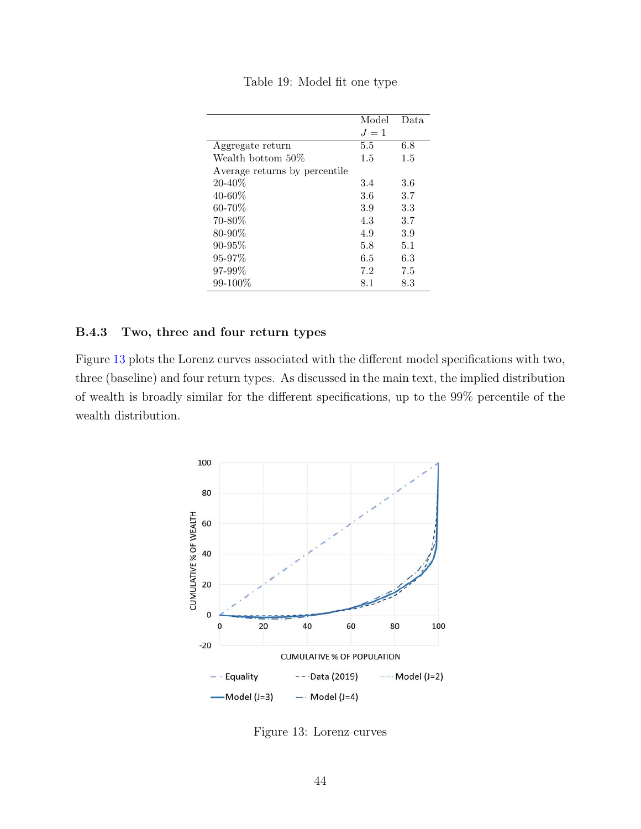<span id="page-44-0"></span>

|                               | Model | Data. |
|-------------------------------|-------|-------|
|                               | $J=1$ |       |
| Aggregate return              | 5.5   | 6.8   |
| Wealth bottom 50\%            | 1.5   | 1.5   |
| Average returns by percentile |       |       |
| $20 - 40\%$                   | 3.4   | 3.6   |
| $40 - 60\%$                   | 3.6   | 3.7   |
| $60 - 70\%$                   | 3.9   | 3.3   |
| 70-80\%                       | 4.3   | 3.7   |
| $80 - 90\%$                   | 4.9   | 3.9   |
| 90-95%                        | 5.8   | 5.1   |
| $95 - 97\%$                   | 6.5   | 6.3   |
| 97-99%                        | 7.2   | 7.5   |
| $99 - 100\%$                  | 8.1   | 8.3   |

Table 19: Model fit one type

#### B.4.3 Two, three and four return types

<span id="page-44-1"></span>Figure [13](#page-44-1) plots the Lorenz curves associated with the different model specifications with two, three (baseline) and four return types. As discussed in the main text, the implied distribution of wealth is broadly similar for the different specifications, up to the 99% percentile of the wealth distribution.



Figure 13: Lorenz curves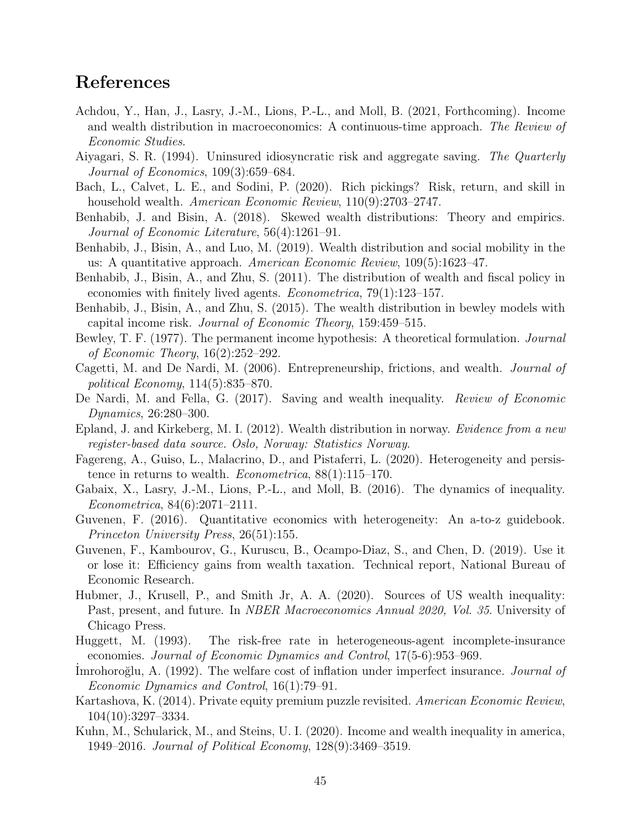# References

- <span id="page-45-17"></span>Achdou, Y., Han, J., Lasry, J.-M., Lions, P.-L., and Moll, B. (2021, Forthcoming). Income and wealth distribution in macroeconomics: A continuous-time approach. The Review of Economic Studies.
- <span id="page-45-12"></span>Aiyagari, S. R. (1994). Uninsured idiosyncratic risk and aggregate saving. The Quarterly Journal of Economics, 109(3):659–684.
- <span id="page-45-2"></span>Bach, L., Calvet, L. E., and Sodini, P. (2020). Rich pickings? Risk, return, and skill in household wealth. American Economic Review, 110(9):2703-2747.
- <span id="page-45-1"></span>Benhabib, J. and Bisin, A. (2018). Skewed wealth distributions: Theory and empirics. Journal of Economic Literature, 56(4):1261–91.
- <span id="page-45-15"></span>Benhabib, J., Bisin, A., and Luo, M. (2019). Wealth distribution and social mobility in the us: A quantitative approach. American Economic Review, 109(5):1623–47.
- <span id="page-45-4"></span>Benhabib, J., Bisin, A., and Zhu, S. (2011). The distribution of wealth and fiscal policy in economies with finitely lived agents. Econometrica, 79(1):123–157.
- <span id="page-45-5"></span>Benhabib, J., Bisin, A., and Zhu, S. (2015). The wealth distribution in bewley models with capital income risk. Journal of Economic Theory, 159:459–515.
- <span id="page-45-9"></span>Bewley, T. F. (1977). The permanent income hypothesis: A theoretical formulation. *Journal* of Economic Theory, 16(2):252–292.
- <span id="page-45-13"></span>Cagetti, M. and De Nardi, M. (2006). Entrepreneurship, frictions, and wealth. Journal of political Economy, 114(5):835–870.
- <span id="page-45-0"></span>De Nardi, M. and Fella, G. (2017). Saving and wealth inequality. Review of Economic Dynamics, 26:280–300.
- <span id="page-45-14"></span>Epland, J. and Kirkeberg, M. I. (2012). Wealth distribution in norway. Evidence from a new register-based data source. Oslo, Norway: Statistics Norway.
- <span id="page-45-3"></span>Fagereng, A., Guiso, L., Malacrino, D., and Pistaferri, L. (2020). Heterogeneity and persistence in returns to wealth. Econometrica, 88(1):115–170.
- <span id="page-45-6"></span>Gabaix, X., Lasry, J.-M., Lions, P.-L., and Moll, B. (2016). The dynamics of inequality. Econometrica, 84(6):2071–2111.
- <span id="page-45-19"></span>Guvenen, F. (2016). Quantitative economics with heterogeneity: An a-to-z guidebook. Princeton University Press, 26(51):155.
- <span id="page-45-18"></span>Guvenen, F., Kambourov, G., Kuruscu, B., Ocampo-Diaz, S., and Chen, D. (2019). Use it or lose it: Efficiency gains from wealth taxation. Technical report, National Bureau of Economic Research.
- <span id="page-45-16"></span>Hubmer, J., Krusell, P., and Smith Jr, A. A. (2020). Sources of US wealth inequality: Past, present, and future. In NBER Macroeconomics Annual 2020, Vol. 35. University of Chicago Press.
- <span id="page-45-11"></span>Huggett, M. (1993). The risk-free rate in heterogeneous-agent incomplete-insurance economies. Journal of Economic Dynamics and Control, 17(5-6):953–969.
- <span id="page-45-10"></span>Imrohoroğlu, A. (1992). The welfare cost of inflation under imperfect insurance. *Journal of* Economic Dynamics and Control, 16(1):79–91.
- <span id="page-45-7"></span>Kartashova, K. (2014). Private equity premium puzzle revisited. American Economic Review, 104(10):3297–3334.
- <span id="page-45-8"></span>Kuhn, M., Schularick, M., and Steins, U. I. (2020). Income and wealth inequality in america, 1949–2016. Journal of Political Economy, 128(9):3469–3519.